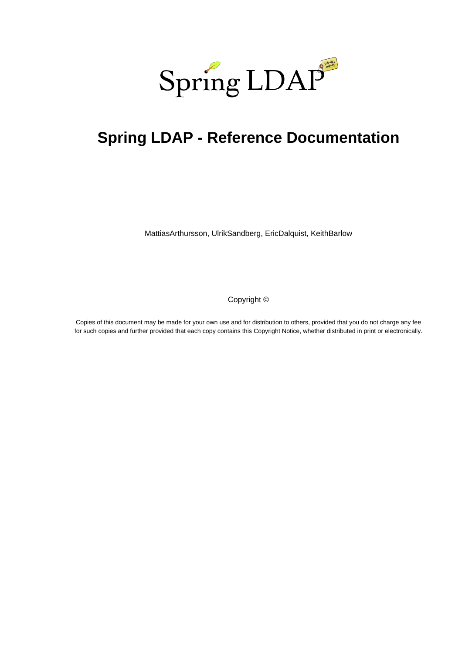

# **Spring LDAP - Reference Documentation**

MattiasArthursson, UlrikSandberg, EricDalquist, KeithBarlow

Copyright ©

Copies of this document may be made for your own use and for distribution to others, provided that you do not charge any fee for such copies and further provided that each copy contains this Copyright Notice, whether distributed in print or electronically.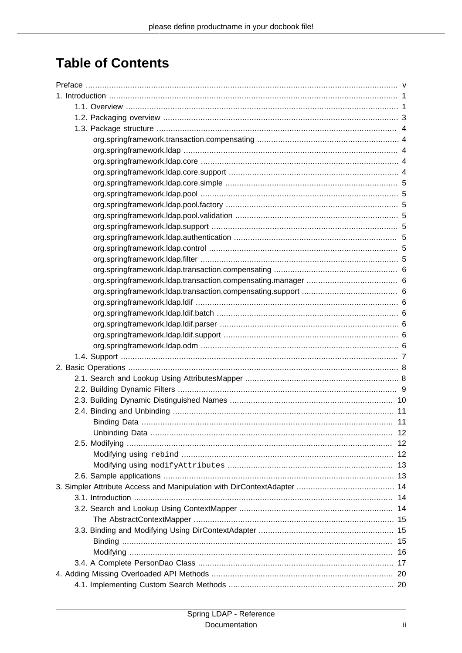## **Table of Contents**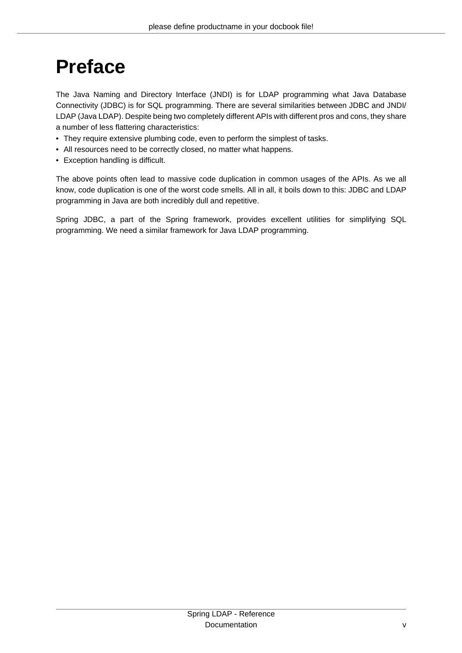# <span id="page-4-0"></span>**Preface**

The Java Naming and Directory Interface (JNDI) is for LDAP programming what Java Database Connectivity (JDBC) is for SQL programming. There are several similarities between JDBC and JNDI/ LDAP (Java LDAP). Despite being two completely different APIs with different pros and cons, they share a number of less flattering characteristics:

- They require extensive plumbing code, even to perform the simplest of tasks.
- All resources need to be correctly closed, no matter what happens.
- Exception handling is difficult.

The above points often lead to massive code duplication in common usages of the APIs. As we all know, code duplication is one of the worst code smells. All in all, it boils down to this: JDBC and LDAP programming in Java are both incredibly dull and repetitive.

Spring JDBC, a part of the Spring framework, provides excellent utilities for simplifying SQL programming. We need a similar framework for Java LDAP programming.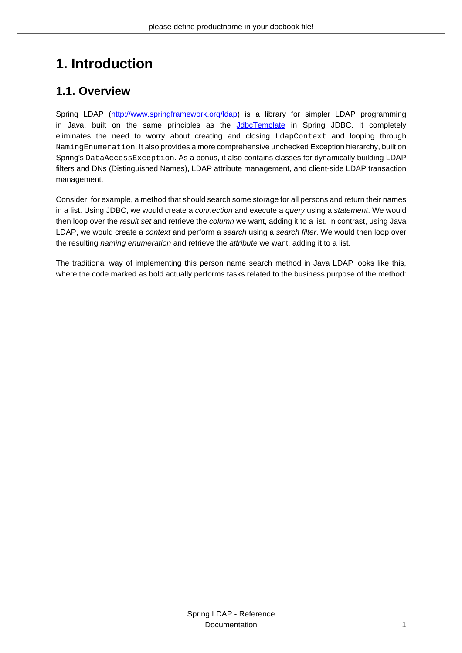## <span id="page-5-0"></span>**1. Introduction**

## <span id="page-5-1"></span>**1.1. Overview**

Spring LDAP [\(http://www.springframework.org/ldap\)](http://www.springframework.org/ldap) is a library for simpler LDAP programming in Java, built on the same principles as the **[JdbcTemplate](http://static.springframework.org/spring/docs/current/api/org/springframework/jdbc/core/JdbcTemplate.html)** in Spring JDBC. It completely eliminates the need to worry about creating and closing LdapContext and looping through NamingEnumeration. It also provides a more comprehensive unchecked Exception hierarchy, built on Spring's DataAccessException. As a bonus, it also contains classes for dynamically building LDAP filters and DNs (Distinguished Names), LDAP attribute management, and client-side LDAP transaction management.

Consider, for example, a method that should search some storage for all persons and return their names in a list. Using JDBC, we would create a connection and execute a query using a statement. We would then loop over the result set and retrieve the column we want, adding it to a list. In contrast, using Java LDAP, we would create a context and perform a search using a search filter. We would then loop over the resulting *naming enumeration* and retrieve the *attribute* we want, adding it to a list.

The traditional way of implementing this person name search method in Java LDAP looks like this, where the code marked as bold actually performs tasks related to the business purpose of the method: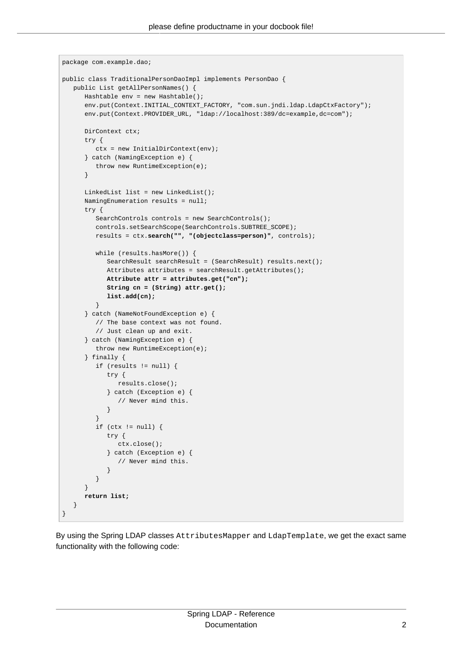```
package com.example.dao;
public class TraditionalPersonDaoImpl implements PersonDao {
   public List getAllPersonNames() {
      Hashtable env = new Hashtable();
     env.put(Context.INITIAL_CONTEXT_FACTORY, "com.sun.jndi.ldap.LdapCtxFactory");
      env.put(Context.PROVIDER_URL, "ldap://localhost:389/dc=example,dc=com");
      DirContext ctx;
      try {
        ctx = new InitialDirContext(env); } catch (NamingException e) {
          throw new RuntimeException(e);
       }
     LinkedList list = new LinkedList();
      NamingEnumeration results = null;
      try {
        SearchControls controls = new SearchControls();
          controls.setSearchScope(SearchControls.SUBTREE_SCOPE);
         results = ctx.search("", "(objectclass=person)", controls);
          while (results.hasMore()) {
             SearchResult searchResult = (SearchResult) results.next();
            Attributes attributes = searchResult.getAttributes();
             Attribute attr = attributes.get("cn");
             String cn = (String) attr.get();
             list.add(cn);
          }
       } catch (NameNotFoundException e) {
          // The base context was not found.
          // Just clean up and exit.
       } catch (NamingException e) {
          throw new RuntimeException(e);
       } finally {
          if (results != null) {
             try {
               results.close();
             } catch (Exception e) {
                // Never mind this.
 }
 }
          if (ctx != null) {
             try {
               ctx.close();
             } catch (Exception e) {
                // Never mind this.
 }
          }
       }
      return list;
    }
}
```
By using the Spring LDAP classes AttributesMapper and LdapTemplate, we get the exact same functionality with the following code: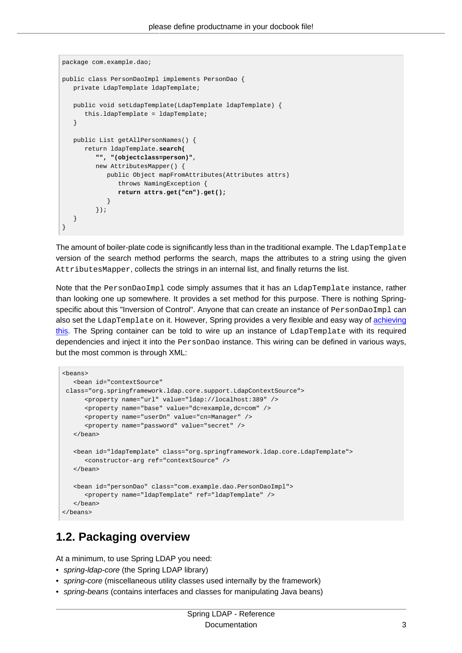```
package com.example.dao;
public class PersonDaoImpl implements PersonDao {
   private LdapTemplate ldapTemplate;
   public void setLdapTemplate(LdapTemplate ldapTemplate) {
      this.ldapTemplate = ldapTemplate;
    }
   public List getAllPersonNames() {
      return ldapTemplate.search(
          "", "(objectclass=person)",
          new AttributesMapper() {
            public Object mapFromAttributes(Attributes attrs)
                throws NamingException {
                return attrs.get("cn").get();
             }
          });
   }
}
```
The amount of boiler-plate code is significantly less than in the traditional example. The LdapTemplate version of the search method performs the search, maps the attributes to a string using the given AttributesMapper, collects the strings in an internal list, and finally returns the list.

Note that the PersonDaoImpl code simply assumes that it has an LdapTemplate instance, rather than looking one up somewhere. It provides a set method for this purpose. There is nothing Springspecific about this "Inversion of Control". Anyone that can create an instance of PersonDaoImpl can also set the LdapTemplate on it. However, Spring provides a very flexible and easy way of [achieving](http://static.springframework.org/spring/docs/current/reference/beans.html) [this.](http://static.springframework.org/spring/docs/current/reference/beans.html) The Spring container can be told to wire up an instance of LdapTemplate with its required dependencies and inject it into the PersonDao instance. This wiring can be defined in various ways, but the most common is through XML:

```
<beans>
    <bean id="contextSource"
 class="org.springframework.ldap.core.support.LdapContextSource">
       <property name="url" value="ldap://localhost:389" />
       <property name="base" value="dc=example,dc=com" />
       <property name="userDn" value="cn=Manager" />
       <property name="password" value="secret" />
   </bean>
    <bean id="ldapTemplate" class="org.springframework.ldap.core.LdapTemplate">
       <constructor-arg ref="contextSource" />
   </bean>
    <bean id="personDao" class="com.example.dao.PersonDaoImpl">
       <property name="ldapTemplate" ref="ldapTemplate" />
    </bean>
</beans>
```
### <span id="page-7-0"></span>**1.2. Packaging overview**

At a minimum, to use Spring LDAP you need:

- spring-Idap-core (the Spring LDAP library)
- spring-core (miscellaneous utility classes used internally by the framework)
- spring-beans (contains interfaces and classes for manipulating Java beans)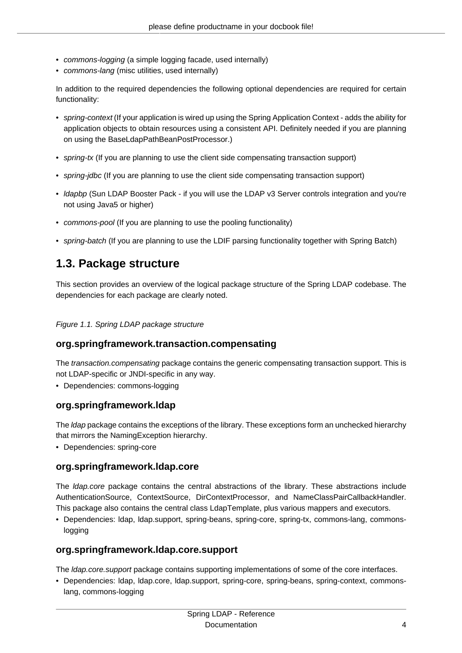- commons-logging (a simple logging facade, used internally)
- commons-lang (misc utilities, used internally)

In addition to the required dependencies the following optional dependencies are required for certain functionality:

- spring-context (If your application is wired up using the Spring Application Context adds the ability for application objects to obtain resources using a consistent API. Definitely needed if you are planning on using the BaseLdapPathBeanPostProcessor.)
- spring-tx (If you are planning to use the client side compensating transaction support)
- spring-jdbc (If you are planning to use the client side compensating transaction support)
- Idapbp (Sun LDAP Booster Pack if you will use the LDAP v3 Server controls integration and you're not using Java5 or higher)
- commons-pool (If you are planning to use the pooling functionality)
- <span id="page-8-0"></span>• spring-batch (If you are planning to use the LDIF parsing functionality together with Spring Batch)

### **1.3. Package structure**

This section provides an overview of the logical package structure of the Spring LDAP codebase. The dependencies for each package are clearly noted.

Figure 1.1. Spring LDAP package structure

### <span id="page-8-1"></span>**org.springframework.transaction.compensating**

The transaction.compensating package contains the generic compensating transaction support. This is not LDAP-specific or JNDI-specific in any way.

<span id="page-8-2"></span>• Dependencies: commons-logging

### **org.springframework.ldap**

The *Idap* package contains the exceptions of the library. These exceptions form an unchecked hierarchy that mirrors the NamingException hierarchy.

• Dependencies: spring-core

### <span id="page-8-3"></span>**org.springframework.ldap.core**

The ldap.core package contains the central abstractions of the library. These abstractions include AuthenticationSource, ContextSource, DirContextProcessor, and NameClassPairCallbackHandler. This package also contains the central class LdapTemplate, plus various mappers and executors.

• Dependencies: ldap, ldap.support, spring-beans, spring-core, spring-tx, commons-lang, commonslogging

### <span id="page-8-4"></span>**org.springframework.ldap.core.support**

The ldap.core.support package contains supporting implementations of some of the core interfaces.

• Dependencies: ldap, ldap.core, ldap.support, spring-core, spring-beans, spring-context, commonslang, commons-logging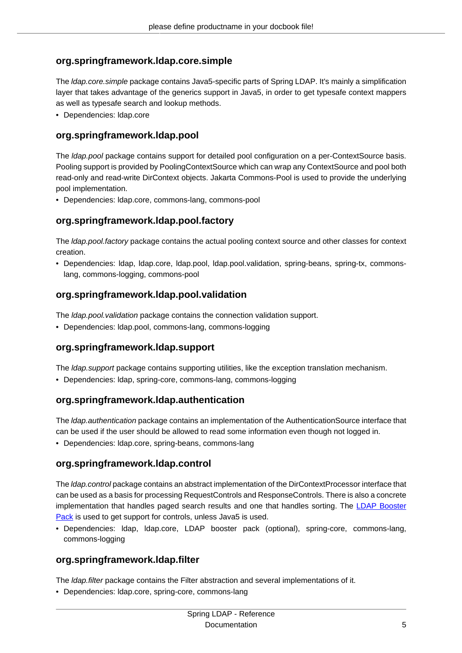### <span id="page-9-0"></span>**org.springframework.ldap.core.simple**

The ldap.core.simple package contains Java5-specific parts of Spring LDAP. It's mainly a simplification layer that takes advantage of the generics support in Java5, in order to get typesafe context mappers as well as typesafe search and lookup methods.

• Dependencies: ldap.core

### <span id="page-9-1"></span>**org.springframework.ldap.pool**

The Idap.pool package contains support for detailed pool configuration on a per-ContextSource basis. Pooling support is provided by PoolingContextSource which can wrap any ContextSource and pool both read-only and read-write DirContext objects. Jakarta Commons-Pool is used to provide the underlying pool implementation.

• Dependencies: ldap.core, commons-lang, commons-pool

### <span id="page-9-2"></span>**org.springframework.ldap.pool.factory**

The Idap.pool.factory package contains the actual pooling context source and other classes for context creation.

• Dependencies: ldap, ldap.core, ldap.pool, ldap.pool.validation, spring-beans, spring-tx, commonslang, commons-logging, commons-pool

### <span id="page-9-3"></span>**org.springframework.ldap.pool.validation**

The Idap.pool. validation package contains the connection validation support.

• Dependencies: ldap.pool, commons-lang, commons-logging

### <span id="page-9-4"></span>**org.springframework.ldap.support**

The *Idap.support* package contains supporting utilities, like the exception translation mechanism.

• Dependencies: ldap, spring-core, commons-lang, commons-logging

### <span id="page-9-5"></span>**org.springframework.ldap.authentication**

The ldap.authentication package contains an implementation of the AuthenticationSource interface that can be used if the user should be allowed to read some information even though not logged in.

<span id="page-9-6"></span>• Dependencies: ldap.core, spring-beans, commons-lang

### **org.springframework.ldap.control**

The ldap.control package contains an abstract implementation of the DirContextProcessor interface that can be used as a basis for processing RequestControls and ResponseControls. There is also a concrete implementation that handles paged search results and one that handles sorting. The [LDAP Booster](http://java.sun.com/products/jndi/) [Pack](http://java.sun.com/products/jndi/) is used to get support for controls, unless Java5 is used.

• Dependencies: ldap, ldap.core, LDAP booster pack (optional), spring-core, commons-lang, commons-logging

### <span id="page-9-7"></span>**org.springframework.ldap.filter**

The *Idap.filter* package contains the Filter abstraction and several implementations of it.

• Dependencies: ldap.core, spring-core, commons-lang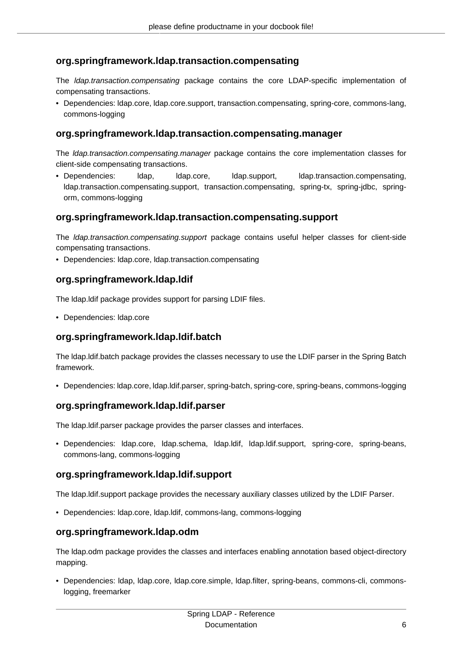### <span id="page-10-0"></span>**org.springframework.ldap.transaction.compensating**

The ldap.transaction.compensating package contains the core LDAP-specific implementation of compensating transactions.

• Dependencies: ldap.core, ldap.core.support, transaction.compensating, spring-core, commons-lang, commons-logging

### <span id="page-10-1"></span>**org.springframework.ldap.transaction.compensating.manager**

The ldap.transaction.compensating.manager package contains the core implementation classes for client-side compensating transactions.

• Dependencies: ldap, ldap.core, ldap.support, ldap.transaction.compensating, ldap.transaction.compensating.support, transaction.compensating, spring-tx, spring-jdbc, springorm, commons-logging

### <span id="page-10-2"></span>**org.springframework.ldap.transaction.compensating.support**

The Idap.transaction.compensating.support package contains useful helper classes for client-side compensating transactions.

• Dependencies: ldap.core, ldap.transaction.compensating

### <span id="page-10-3"></span>**org.springframework.ldap.ldif**

The ldap.ldif package provides support for parsing LDIF files.

• Dependencies: ldap.core

### <span id="page-10-4"></span>**org.springframework.ldap.ldif.batch**

The ldap.ldif.batch package provides the classes necessary to use the LDIF parser in the Spring Batch framework.

• Dependencies: ldap.core, ldap.ldif.parser, spring-batch, spring-core, spring-beans, commons-logging

### <span id="page-10-5"></span>**org.springframework.ldap.ldif.parser**

The ldap.ldif.parser package provides the parser classes and interfaces.

• Dependencies: ldap.core, ldap.schema, ldap.ldif, ldap.ldif.support, spring-core, spring-beans, commons-lang, commons-logging

### <span id="page-10-6"></span>**org.springframework.ldap.ldif.support**

The ldap.ldif.support package provides the necessary auxiliary classes utilized by the LDIF Parser.

• Dependencies: ldap.core, ldap.ldif, commons-lang, commons-logging

### <span id="page-10-7"></span>**org.springframework.ldap.odm**

The ldap.odm package provides the classes and interfaces enabling annotation based object-directory mapping.

• Dependencies: ldap, ldap.core, ldap.core.simple, ldap.filter, spring-beans, commons-cli, commonslogging, freemarker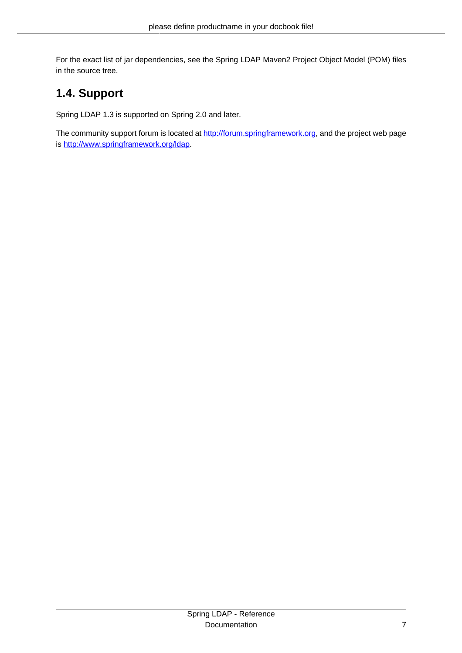For the exact list of jar dependencies, see the Spring LDAP Maven2 Project Object Model (POM) files in the source tree.

## <span id="page-11-0"></span>**1.4. Support**

Spring LDAP 1.3 is supported on Spring 2.0 and later.

The community support forum is located at [http://forum.springframework.org,](http://forum.springframework.org) and the project web page is <http://www.springframework.org/ldap>.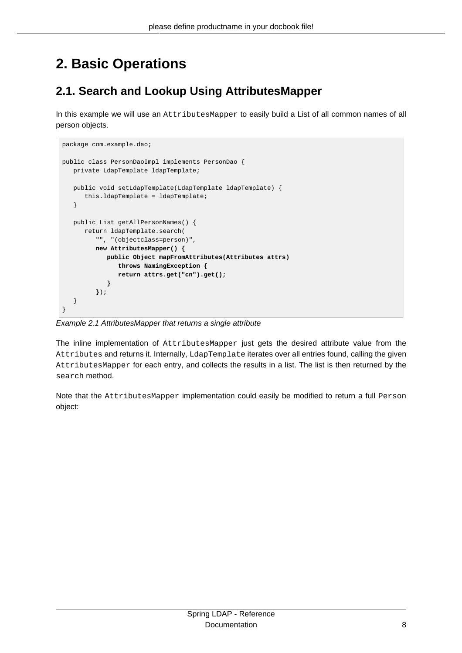# <span id="page-12-0"></span>**2. Basic Operations**

## <span id="page-12-1"></span>**2.1. Search and Lookup Using AttributesMapper**

In this example we will use an AttributesMapper to easily build a List of all common names of all person objects.

```
package com.example.dao;
public class PersonDaoImpl implements PersonDao {
   private LdapTemplate ldapTemplate;
   public void setLdapTemplate(LdapTemplate ldapTemplate) {
       this.ldapTemplate = ldapTemplate;
    }
   public List getAllPersonNames() {
      return ldapTemplate.search(
          "", "(objectclass=person)",
          new AttributesMapper() {
             public Object mapFromAttributes(Attributes attrs)
                throws NamingException {
                return attrs.get("cn").get();
             }
          });
    }
}
```
Example 2.1 AttributesMapper that returns a single attribute

The inline implementation of AttributesMapper just gets the desired attribute value from the Attributes and returns it. Internally, LdapTemplate iterates over all entries found, calling the given AttributesMapper for each entry, and collects the results in a list. The list is then returned by the search method.

Note that the AttributesMapper implementation could easily be modified to return a full Person object: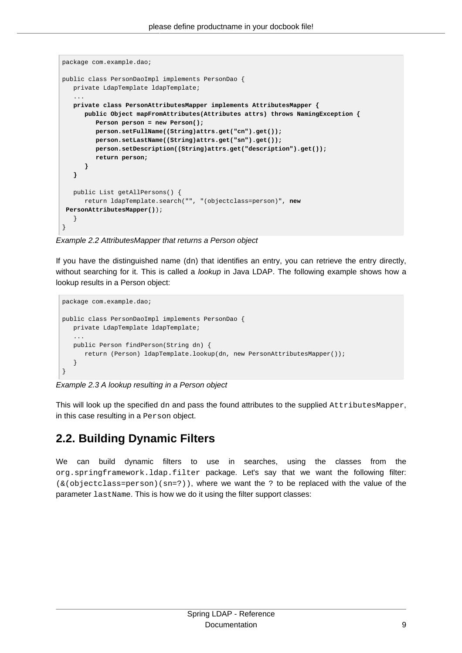```
package com.example.dao;
public class PersonDaoImpl implements PersonDao {
   private LdapTemplate ldapTemplate;
 ...
   private class PersonAttributesMapper implements AttributesMapper {
      public Object mapFromAttributes(Attributes attrs) throws NamingException {
         Person person = new Person();
         person.setFullName((String)attrs.get("cn").get());
          person.setLastName((String)attrs.get("sn").get());
          person.setDescription((String)attrs.get("description").get());
         return person;
      }
   }
   public List getAllPersons() {
      return ldapTemplate.search("", "(objectclass=person)", new
 PersonAttributesMapper());
   }
}
```
Example 2.2 AttributesMapper that returns a Person object

If you have the distinguished name (dn) that identifies an entry, you can retrieve the entry directly, without searching for it. This is called a *lookup* in Java LDAP. The following example shows how a lookup results in a Person object:

```
package com.example.dao;
public class PersonDaoImpl implements PersonDao {
   private LdapTemplate ldapTemplate;
    ...
   public Person findPerson(String dn) {
      return (Person) ldapTemplate.lookup(dn, new PersonAttributesMapper());
    }
}
```
Example 2.3 A lookup resulting in a Person object

This will look up the specified dn and pass the found attributes to the supplied AttributesMapper, in this case resulting in a Person object.

## <span id="page-13-0"></span>**2.2. Building Dynamic Filters**

We can build dynamic filters to use in searches, using the classes from the org.springframework.ldap.filter package. Let's say that we want the following filter:  $(\&(objectclass=person)(sn=?))$ , where we want the ? to be replaced with the value of the parameter lastName. This is how we do it using the filter support classes: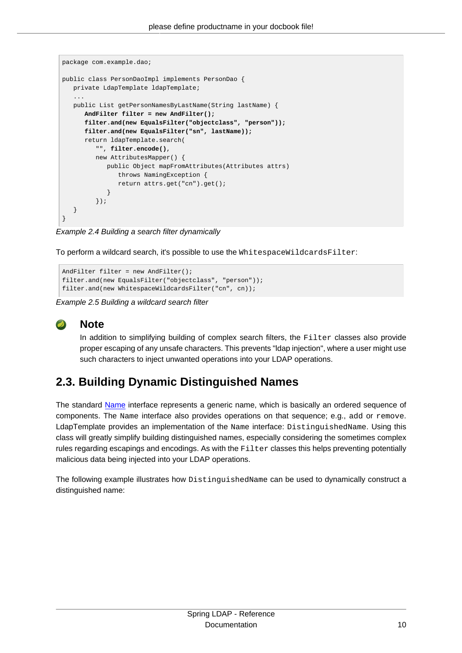```
package com.example.dao;
public class PersonDaoImpl implements PersonDao {
   private LdapTemplate ldapTemplate;
 ...
   public List getPersonNamesByLastName(String lastName) {
      AndFilter filter = new AndFilter();
      filter.and(new EqualsFilter("objectclass", "person"));
      filter.and(new EqualsFilter("sn", lastName));
      return ldapTemplate.search(
          "", filter.encode(),
         new AttributesMapper() {
            public Object mapFromAttributes(Attributes attrs)
               throws NamingException {
               return attrs.get("cn").get();
 }
         });
   }
}
```
Example 2.4 Building a search filter dynamically

To perform a wildcard search, it's possible to use the WhitespaceWildcardsFilter:

```
AndFilter filter = new AndFilter();
filter.and(new EqualsFilter("objectclass", "person"));
filter.and(new WhitespaceWildcardsFilter("cn", cn));
```
Example 2.5 Building a wildcard search filter



### **Note**

In addition to simplifying building of complex search filters, the Filter classes also provide proper escaping of any unsafe characters. This prevents "ldap injection", where a user might use such characters to inject unwanted operations into your LDAP operations.

## <span id="page-14-0"></span>**2.3. Building Dynamic Distinguished Names**

The standard [Name](http://download.oracle.com/javase/1.5.0/docs/api/javax/naming/Name.html) interface represents a generic name, which is basically an ordered sequence of components. The Name interface also provides operations on that sequence; e.g., add or remove. LdapTemplate provides an implementation of the Name interface: DistinguishedName. Using this class will greatly simplify building distinguished names, especially considering the sometimes complex rules regarding escapings and encodings. As with the Filter classes this helps preventing potentially malicious data being injected into your LDAP operations.

The following example illustrates how DistinguishedName can be used to dynamically construct a distinguished name: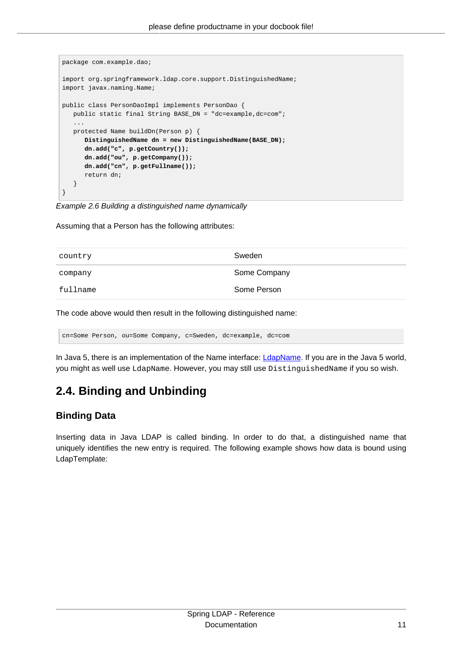```
package com.example.dao;
import org.springframework.ldap.core.support.DistinguishedName;
import javax.naming.Name;
public class PersonDaoImpl implements PersonDao {
   public static final String BASE_DN = "dc=example,dc=com";
 ...
   protected Name buildDn(Person p) {
      DistinguishedName dn = new DistinguishedName(BASE_DN);
      dn.add("c", p.getCountry());
      dn.add("ou", p.getCompany());
      dn.add("cn", p.getFullname());
      return dn;
   }
}
```
Example 2.6 Building a distinguished name dynamically

Assuming that a Person has the following attributes:

| country  | Sweden       |
|----------|--------------|
| company  | Some Company |
| fullname | Some Person  |

The code above would then result in the following distinguished name:

cn=Some Person, ou=Some Company, c=Sweden, dc=example, dc=com

In Java 5, there is an implementation of the Name interface: *LdapName*. If you are in the Java 5 world, you might as well use LdapName. However, you may still use DistinguishedName if you so wish.

## <span id="page-15-0"></span>**2.4. Binding and Unbinding**

### <span id="page-15-1"></span>**Binding Data**

Inserting data in Java LDAP is called binding. In order to do that, a distinguished name that uniquely identifies the new entry is required. The following example shows how data is bound using LdapTemplate: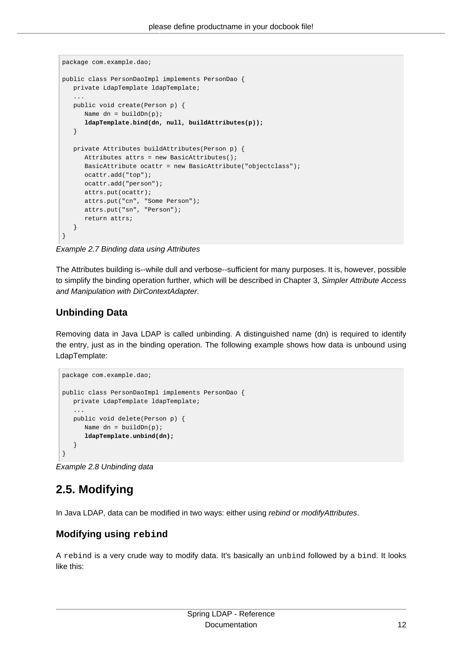```
package com.example.dao;
public class PersonDaoImpl implements PersonDao {
   private LdapTemplate ldapTemplate;
 ...
   public void create(Person p) {
     Name dn = \text{buildDn}(p);
      ldapTemplate.bind(dn, null, buildAttributes(p));
    }
   private Attributes buildAttributes(Person p) {
      Attributes attrs = new BasicAttributes();
      BasicAttribute ocattr = new BasicAttribute("objectclass");
      ocattr.add("top");
      ocattr.add("person");
      attrs.put(ocattr);
      attrs.put("cn", "Some Person");
      attrs.put("sn", "Person");
      return attrs;
   }
}
```
Example 2.7 Binding data using Attributes

The Attributes building is--while dull and verbose--sufficient for many purposes. It is, however, possible to simplify the binding operation further, which will be described in Chapter 3, [Simpler Attribute Access](#page-18-0) [and Manipulation with DirContextAdapter](#page-18-0).

### <span id="page-16-0"></span>**Unbinding Data**

Removing data in Java LDAP is called unbinding. A distinguished name (dn) is required to identify the entry, just as in the binding operation. The following example shows how data is unbound using LdapTemplate:

```
package com.example.dao;
public class PersonDaoImpl implements PersonDao {
   private LdapTemplate ldapTemplate;
 ...
    public void delete(Person p) {
     Name dn = \text{buildDn}(p);
      ldapTemplate.unbind(dn);
    }
}
```
Example 2.8 Unbinding data

## <span id="page-16-1"></span>**2.5. Modifying**

In Java LDAP, data can be modified in two ways: either using rebind or modifyAttributes.

### <span id="page-16-2"></span>**Modifying using rebind**

A rebind is a very crude way to modify data. It's basically an unbind followed by a bind. It looks like this: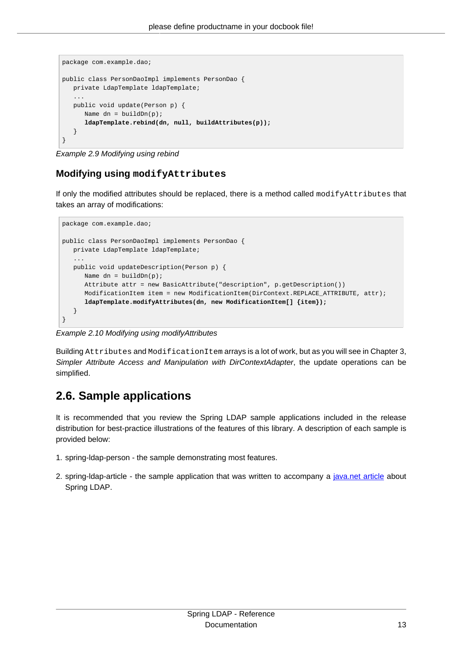```
package com.example.dao;
public class PersonDaoImpl implements PersonDao {
   private LdapTemplate ldapTemplate;
 ...
   public void update(Person p) {
     Name dn = \text{buildDn(p)};
      ldapTemplate.rebind(dn, null, buildAttributes(p));
   }
}
```
Example 2.9 Modifying using rebind

### <span id="page-17-0"></span>**Modifying using modifyAttributes**

If only the modified attributes should be replaced, there is a method called modifyAttributes that takes an array of modifications:

```
package com.example.dao;
public class PersonDaoImpl implements PersonDao {
   private LdapTemplate ldapTemplate;
    ...
   public void updateDescription(Person p) {
     Name dn = \text{buildDn}(p);
      Attribute attr = new BasicAttribute("description", p.getDescription())
      ModificationItem item = new ModificationItem(DirContext.REPLACE_ATTRIBUTE, attr);
      ldapTemplate.modifyAttributes(dn, new ModificationItem[] {item});
    }
}
```
Example 2.10 Modifying using modifyAttributes

Building Attributes and ModificationItem arrays is a lot of work, but as you will see in [Chapter 3,](#page-18-0) [Simpler Attribute Access and Manipulation with DirContextAdapter](#page-18-0), the update operations can be simplified.

### <span id="page-17-1"></span>**2.6. Sample applications**

It is recommended that you review the Spring LDAP sample applications included in the release distribution for best-practice illustrations of the features of this library. A description of each sample is provided below:

- 1. spring-ldap-person the sample demonstrating most features.
- 2. spring-Idap-article the sample application that was written to accompany a [java.net article](http://today.java.net/pub/a/today/2006/04/18/ldaptemplate-java-ldap-made-simple.html) about Spring LDAP.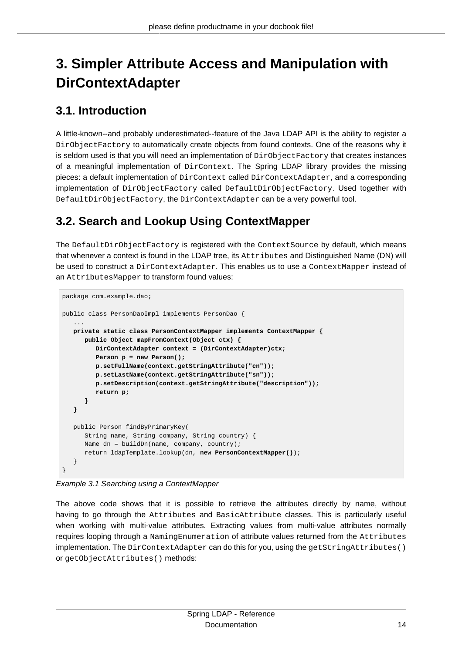# <span id="page-18-0"></span>**3. Simpler Attribute Access and Manipulation with DirContextAdapter**

## <span id="page-18-1"></span>**3.1. Introduction**

A little-known--and probably underestimated--feature of the Java LDAP API is the ability to register a DirObjectFactory to automatically create objects from found contexts. One of the reasons why it is seldom used is that you will need an implementation of  $DirObjectFactory$  that creates instances of a meaningful implementation of DirContext. The Spring LDAP library provides the missing pieces: a default implementation of DirContext called DirContextAdapter, and a corresponding implementation of DirObjectFactory called DefaultDirObjectFactory. Used together with DefaultDirObjectFactory, the DirContextAdapter can be a very powerful tool.

## <span id="page-18-2"></span>**3.2. Search and Lookup Using ContextMapper**

The DefaultDirObjectFactory is registered with the ContextSource by default, which means that whenever a context is found in the LDAP tree, its Attributes and Distinguished Name (DN) will be used to construct a DirContextAdapter. This enables us to use a ContextMapper instead of an AttributesMapper to transform found values:

```
package com.example.dao;
public class PersonDaoImpl implements PersonDao {
 ...
   private static class PersonContextMapper implements ContextMapper {
      public Object mapFromContext(Object ctx) {
         DirContextAdapter context = (DirContextAdapter)ctx;
         Person p = new Person();
         p.setFullName(context.getStringAttribute("cn"));
         p.setLastName(context.getStringAttribute("sn"));
          p.setDescription(context.getStringAttribute("description"));
          return p;
      }
   }
   public Person findByPrimaryKey(
      String name, String company, String country) {
      Name dn = buildDn(name, company, country);
      return ldapTemplate.lookup(dn, new PersonContextMapper());
   }
}
```
Example 3.1 Searching using a ContextMapper

The above code shows that it is possible to retrieve the attributes directly by name, without having to go through the Attributes and BasicAttribute classes. This is particularly useful when working with multi-value attributes. Extracting values from multi-value attributes normally requires looping through a NamingEnumeration of attribute values returned from the Attributes implementation. The DirContextAdapter can do this for you, using the getStringAttributes() or getObjectAttributes() methods: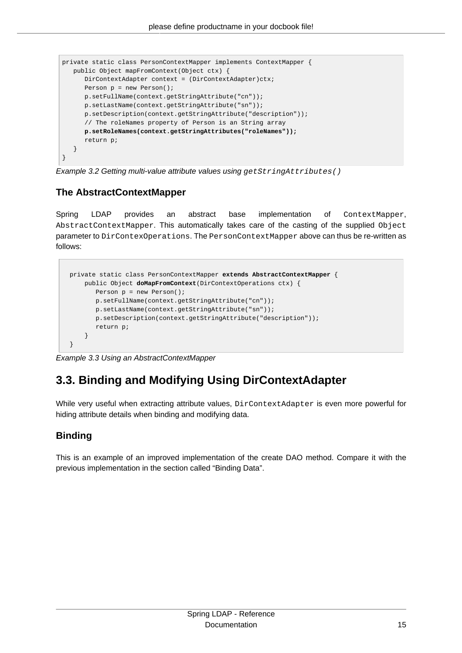```
private static class PersonContextMapper implements ContextMapper {
   public Object mapFromContext(Object ctx) {
     DirContextAdapter context = (DirContextAdapter)ctx;
      Person p = new Person();
      p.setFullName(context.getStringAttribute("cn"));
      p.setLastName(context.getStringAttribute("sn"));
      p.setDescription(context.getStringAttribute("description"));
       // The roleNames property of Person is an String array
      p.setRoleNames(context.getStringAttributes("roleNames"));
      return p;
   }
}
```
Example 3.2 Getting multi-value attribute values using getStringAttributes()

### <span id="page-19-0"></span>**The AbstractContextMapper**

Spring LDAP provides an abstract base implementation of ContextMapper, AbstractContextMapper. This automatically takes care of the casting of the supplied Object parameter to DirContexOperations. The PersonContextMapper above can thus be re-written as follows:

```
 private static class PersonContextMapper extends AbstractContextMapper {
    public Object doMapFromContext(DirContextOperations ctx) {
        Person p = new Person();
        p.setFullName(context.getStringAttribute("cn"));
        p.setLastName(context.getStringAttribute("sn"));
        p.setDescription(context.getStringAttribute("description"));
        return p;
     }
 }
```
<span id="page-19-1"></span>Example 3.3 Using an AbstractContextMapper

## **3.3. Binding and Modifying Using DirContextAdapter**

While very useful when extracting attribute values, DirContextAdapter is even more powerful for hiding attribute details when binding and modifying data.

### <span id="page-19-2"></span>**Binding**

This is an example of an improved implementation of the create DAO method. Compare it with the previous implementation in [the section called "Binding Data".](#page-15-1)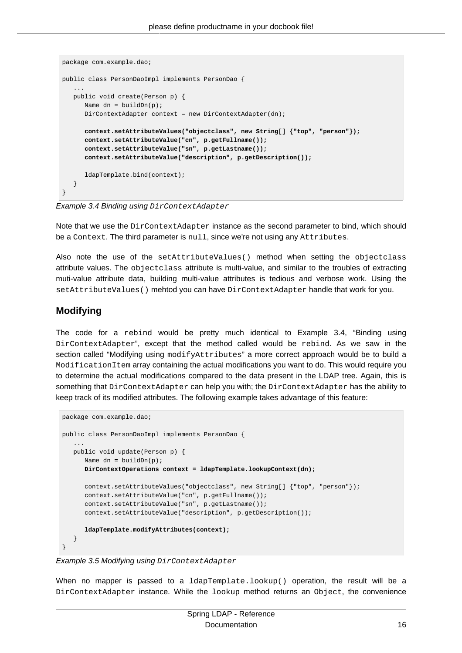```
package com.example.dao;
public class PersonDaoImpl implements PersonDao {
 ...
   public void create(Person p) {
     Name dn = \text{buildDn}(p);
     DirContextAdapter context = new DirContextAdapter(dn);
      context.setAttributeValues("objectclass", new String[] {"top", "person"});
       context.setAttributeValue("cn", p.getFullname());
       context.setAttributeValue("sn", p.getLastname());
       context.setAttributeValue("description", p.getDescription());
       ldapTemplate.bind(context);
   }
}
```
Example 3.4 Binding using DirContextAdapter

Note that we use the DirContextAdapter instance as the second parameter to bind, which should be a Context. The third parameter is null, since we're not using any Attributes.

Also note the use of the setAttributeValues() method when setting the objectclass attribute values. The objectclass attribute is multi-value, and similar to the troubles of extracting muti-value attribute data, building multi-value attributes is tedious and verbose work. Using the setAttributeValues() mehtod you can have DirContextAdapter handle that work for you.

### <span id="page-20-0"></span>**Modifying**

The code for a rebind would be pretty much identical to [Example 3.4, "Binding using](#page-20-1) [DirContextAdapter](#page-20-1)", except that the method called would be rebind. As we saw in [the](#page-17-0) [section called "Modifying using](#page-17-0) modifyAttributes" a more correct approach would be to build a ModificationItem array containing the actual modifications you want to do. This would require you to determine the actual modifications compared to the data present in the LDAP tree. Again, this is something that DirContextAdapter can help you with; the DirContextAdapter has the ability to keep track of its modified attributes. The following example takes advantage of this feature:

```
package com.example.dao;
public class PersonDaoImpl implements PersonDao {
 ...
   public void update(Person p) {
     Name dn = \text{buildDn}(p);
      DirContextOperations context = ldapTemplate.lookupContext(dn);
       context.setAttributeValues("objectclass", new String[] {"top", "person"});
       context.setAttributeValue("cn", p.getFullname());
       context.setAttributeValue("sn", p.getLastname());
       context.setAttributeValue("description", p.getDescription());
       ldapTemplate.modifyAttributes(context);
    }
}
```
Example 3.5 Modifying using DirContextAdapter

When no mapper is passed to a ldapTemplate.lookup() operation, the result will be a DirContextAdapter instance. While the lookup method returns an Object, the convenience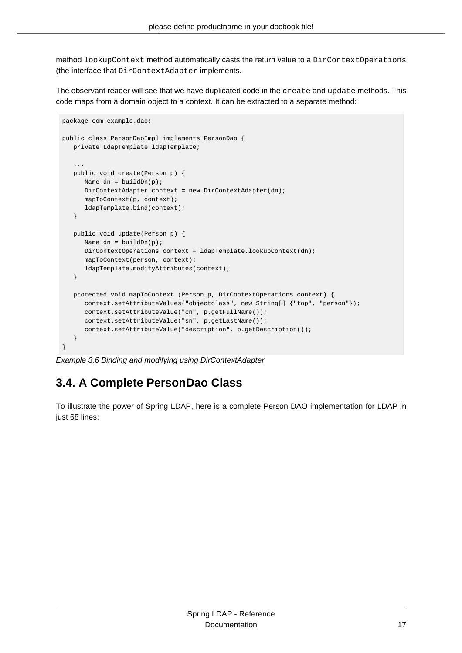method lookupContext method automatically casts the return value to a DirContextOperations (the interface that DirContextAdapter implements.

The observant reader will see that we have duplicated code in the create and update methods. This code maps from a domain object to a context. It can be extracted to a separate method:

```
package com.example.dao;
public class PersonDaoImpl implements PersonDao {
   private LdapTemplate ldapTemplate;
 ...
   public void create(Person p) {
     Name dn = \text{buildDn}(p);
     DirContextAdapter context = new DirContextAdapter(dn);
       mapToContext(p, context);
       ldapTemplate.bind(context);
    }
   public void update(Person p) {
     Name dn = \text{buildDn}(p);
     DirContextOperations context = ldapTemplate.lookupContext(dn);
       mapToContext(person, context);
       ldapTemplate.modifyAttributes(context);
    }
  protected void mapToContext (Person p, DirContextOperations context) {
      context.setAttributeValues("objectclass", new String[] {"top", "person"});
      context.setAttributeValue("cn", p.getFullName());
      context.setAttributeValue("sn", p.getLastName());
       context.setAttributeValue("description", p.getDescription());
    }
}
```
Example 3.6 Binding and modifying using DirContextAdapter

## <span id="page-21-0"></span>**3.4. A Complete PersonDao Class**

To illustrate the power of Spring LDAP, here is a complete Person DAO implementation for LDAP in just 68 lines: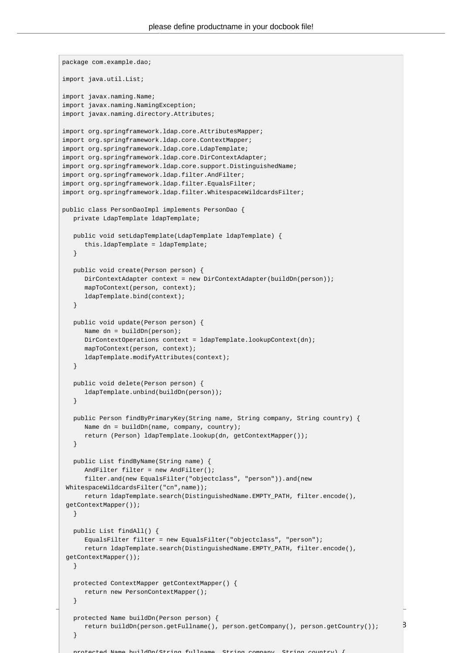```
protected Name buildDn(Person person) {
return buildDn(person.getFullname(), person.getCompany(), person.getCountry()); 3
package com.example.dao;
import java.util.List;
import javax.naming.Name;
import javax.naming.NamingException;
import javax.naming.directory.Attributes;
import org.springframework.ldap.core.AttributesMapper;
import org.springframework.ldap.core.ContextMapper;
import org.springframework.ldap.core.LdapTemplate;
import org.springframework.ldap.core.DirContextAdapter;
import org.springframework.ldap.core.support.DistinguishedName;
import org.springframework.ldap.filter.AndFilter;
import org.springframework.ldap.filter.EqualsFilter;
import org.springframework.ldap.filter.WhitespaceWildcardsFilter;
public class PersonDaoImpl implements PersonDao {
   private LdapTemplate ldapTemplate;
   public void setLdapTemplate(LdapTemplate ldapTemplate) {
      this.ldapTemplate = ldapTemplate;
    }
   public void create(Person person) {
      DirContextAdapter context = new DirContextAdapter(buildDn(person));
      mapToContext(person, context);
       ldapTemplate.bind(context);
    }
   public void update(Person person) {
      Name dn = buildDn(person);
     DirContextOperations context = ldapTemplate.lookupContext(dn);
      mapToContext(person, context);
      ldapTemplate.modifyAttributes(context);
    }
   public void delete(Person person) {
      ldapTemplate.unbind(buildDn(person));
    }
   public Person findByPrimaryKey(String name, String company, String country) {
     Name dn = buildDn(name, company, country);
       return (Person) ldapTemplate.lookup(dn, getContextMapper());
    }
   public List findByName(String name) {
      AndFilter filter = new AndFilter();
       filter.and(new EqualsFilter("objectclass", "person")).and(new
 WhitespaceWildcardsFilter("cn",name));
      return ldapTemplate.search(DistinguishedName.EMPTY_PATH, filter.encode(),
 getContextMapper());
   }
   public List findAll() {
      EqualsFilter filter = new EqualsFilter("objectclass", "person");
      return ldapTemplate.search(DistinguishedName.EMPTY_PATH, filter.encode(),
 getContextMapper());
    }
   protected ContextMapper getContextMapper() {
      return new PersonContextMapper();
    }
    }
```
protected Name buildDn(String fullname, String company, String country) {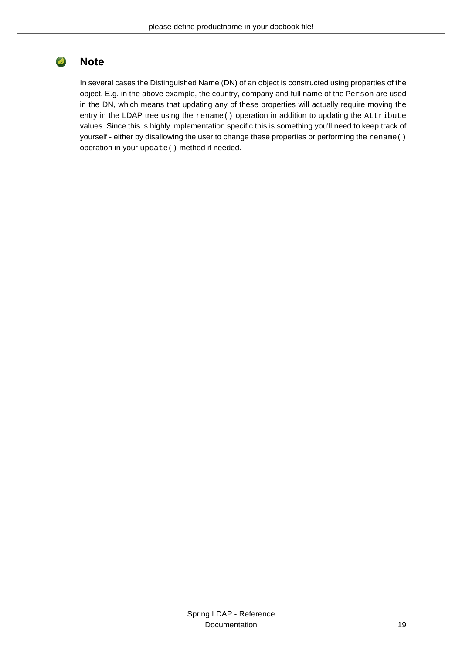#### $\bullet$ **Note**

In several cases the Distinguished Name (DN) of an object is constructed using properties of the object. E.g. in the above example, the country, company and full name of the Person are used in the DN, which means that updating any of these properties will actually require moving the entry in the LDAP tree using the rename() operation in addition to updating the Attribute values. Since this is highly implementation specific this is something you'll need to keep track of yourself - either by disallowing the user to change these properties or performing the rename() operation in your update() method if needed.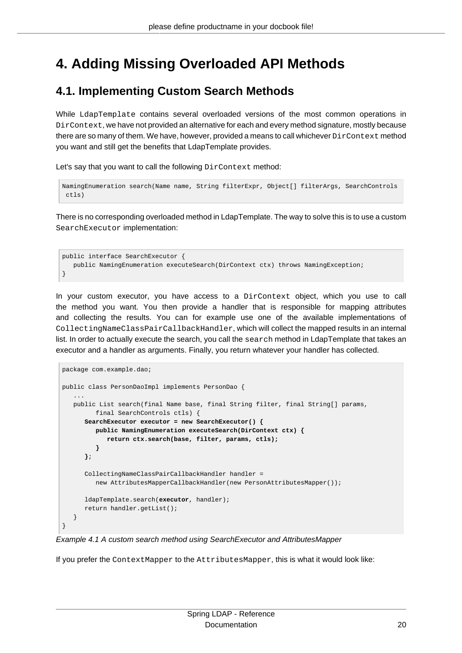## <span id="page-24-0"></span>**4. Adding Missing Overloaded API Methods**

### <span id="page-24-1"></span>**4.1. Implementing Custom Search Methods**

While LdapTemplate contains several overloaded versions of the most common operations in DirContext, we have not provided an alternative for each and every method signature, mostly because there are so many of them. We have, however, provided a means to call whichever  $DirContext$  method you want and still get the benefits that LdapTemplate provides.

Let's say that you want to call the following DirContext method:

```
NamingEnumeration search(Name name, String filterExpr, Object[] filterArgs, SearchControls
 ctls)
```
There is no corresponding overloaded method in LdapTemplate. The way to solve this is to use a custom SearchExecutor implementation:

```
public interface SearchExecutor {
   public NamingEnumeration executeSearch(DirContext ctx) throws NamingException;
}
```
In your custom executor, you have access to a DirContext object, which you use to call the method you want. You then provide a handler that is responsible for mapping attributes and collecting the results. You can for example use one of the available implementations of CollectingNameClassPairCallbackHandler, which will collect the mapped results in an internal list. In order to actually execute the search, you call the search method in LdapTemplate that takes an executor and a handler as arguments. Finally, you return whatever your handler has collected.

```
package com.example.dao;
public class PersonDaoImpl implements PersonDao {
 ...
   public List search(final Name base, final String filter, final String[] params,
          final SearchControls ctls) {
       SearchExecutor executor = new SearchExecutor() {
          public NamingEnumeration executeSearch(DirContext ctx) {
             return ctx.search(base, filter, params, ctls);
          }
       };
       CollectingNameClassPairCallbackHandler handler =
          new AttributesMapperCallbackHandler(new PersonAttributesMapper());
       ldapTemplate.search(executor, handler);
       return handler.getList();
    }
}
```
Example 4.1 A custom search method using SearchExecutor and AttributesMapper

If you prefer the ContextMapper to the AttributesMapper, this is what it would look like: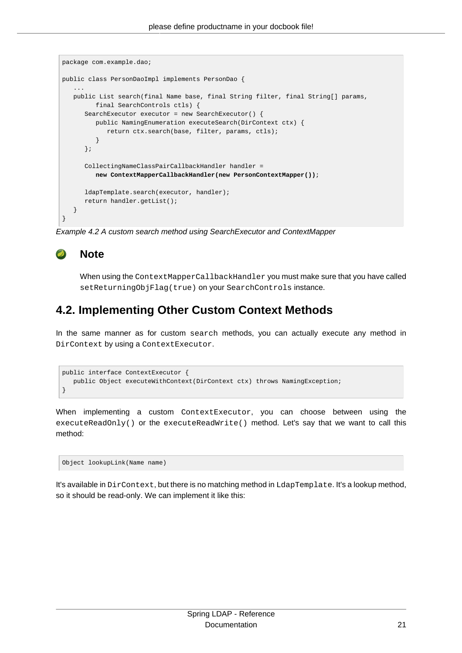```
package com.example.dao;
public class PersonDaoImpl implements PersonDao {
 ...
   public List search(final Name base, final String filter, final String[] params,
         final SearchControls ctls) {
      SearchExecutor executor = new SearchExecutor() {
         public NamingEnumeration executeSearch(DirContext ctx) {
             return ctx.search(base, filter, params, ctls);
          }
       };
      CollectingNameClassPairCallbackHandler handler =
         new ContextMapperCallbackHandler(new PersonContextMapper());
      ldapTemplate.search(executor, handler);
      return handler.getList();
   }
}
```
Example 4.2 A custom search method using SearchExecutor and ContextMapper

#### $\bullet$ **Note**

When using the ContextMapperCallbackHandler you must make sure that you have called setReturningObjFlag(true) on your SearchControls instance.

### <span id="page-25-0"></span>**4.2. Implementing Other Custom Context Methods**

In the same manner as for custom search methods, you can actually execute any method in DirContext by using a ContextExecutor.

```
public interface ContextExecutor {
    public Object executeWithContext(DirContext ctx) throws NamingException;
}
```
When implementing a custom ContextExecutor, you can choose between using the executeReadOnly() or the executeReadWrite() method. Let's say that we want to call this method:

```
Object lookupLink(Name name)
```
It's available in DirContext, but there is no matching method in LdapTemplate. It's a lookup method, so it should be read-only. We can implement it like this: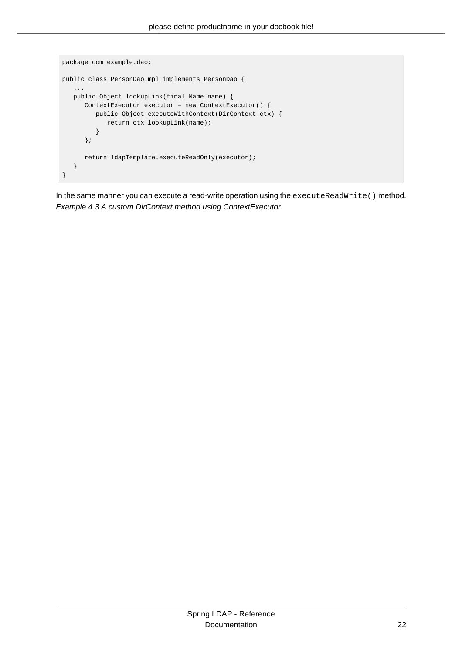```
package com.example.dao;
public class PersonDaoImpl implements PersonDao {
 ...
    public Object lookupLink(final Name name) {
      ContextExecutor executor = new ContextExecutor() {
        public Object executeWithContext(DirContext ctx) {
            return ctx.lookupLink(name);
         }
      };
     return ldapTemplate.executeReadOnly(executor);
    }
}
```
In the same manner you can execute a read-write operation using the executeReadWrite() method. Example 4.3 A custom DirContext method using ContextExecutor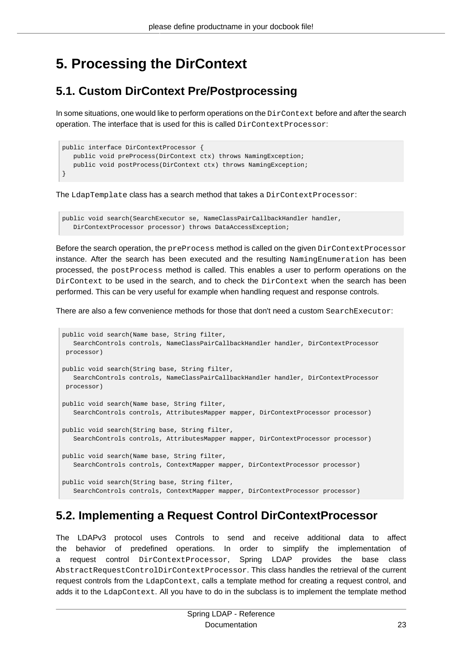## <span id="page-27-0"></span>**5. Processing the DirContext**

## <span id="page-27-1"></span>**5.1. Custom DirContext Pre/Postprocessing**

In some situations, one would like to perform operations on the DirContext before and after the search operation. The interface that is used for this is called DirContextProcessor:

```
public interface DirContextProcessor {
   public void preProcess(DirContext ctx) throws NamingException;
   public void postProcess(DirContext ctx) throws NamingException;
}
```
The LdapTemplate class has a search method that takes a DirContextProcessor:

```
public void search(SearchExecutor se, NameClassPairCallbackHandler handler,
   DirContextProcessor processor) throws DataAccessException;
```
Before the search operation, the  $preProcess$  method is called on the given  $DirContextProcessor$ instance. After the search has been executed and the resulting NamingEnumeration has been processed, the postProcess method is called. This enables a user to perform operations on the DirContext to be used in the search, and to check the DirContext when the search has been performed. This can be very useful for example when handling request and response controls.

There are also a few convenience methods for those that don't need a custom SearchExecutor:

```
public void search(Name base, String filter,
   SearchControls controls, NameClassPairCallbackHandler handler, DirContextProcessor
 processor)
public void search(String base, String filter,
   SearchControls controls, NameClassPairCallbackHandler handler, DirContextProcessor
 processor)
public void search(Name base, String filter,
    SearchControls controls, AttributesMapper mapper, DirContextProcessor processor)
public void search(String base, String filter,
   SearchControls controls, AttributesMapper mapper, DirContextProcessor processor)
public void search(Name base, String filter,
    SearchControls controls, ContextMapper mapper, DirContextProcessor processor)
public void search(String base, String filter,
    SearchControls controls, ContextMapper mapper, DirContextProcessor processor)
```
## <span id="page-27-2"></span>**5.2. Implementing a Request Control DirContextProcessor**

The LDAPv3 protocol uses Controls to send and receive additional data to affect the behavior of predefined operations. In order to simplify the implementation of a request control DirContextProcessor, Spring LDAP provides the base class AbstractRequestControlDirContextProcessor. This class handles the retrieval of the current request controls from the LdapContext, calls a template method for creating a request control, and adds it to the LdapContext. All you have to do in the subclass is to implement the template method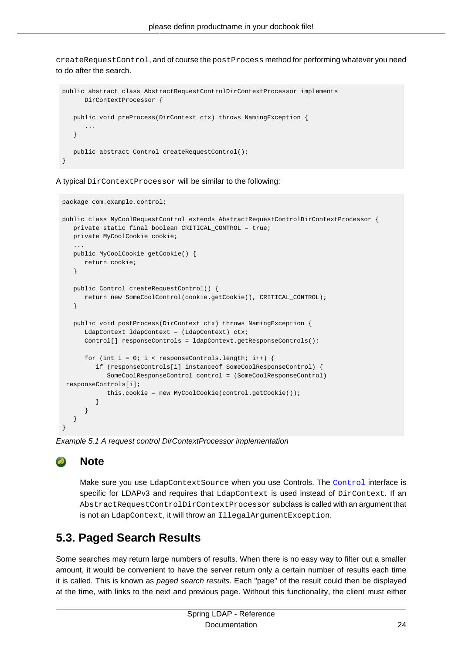createRequestControl, and of course the postProcess method for performing whatever you need to do after the search.

```
public abstract class AbstractRequestControlDirContextProcessor implements
       DirContextProcessor {
   public void preProcess(DirContext ctx) throws NamingException {
       ...
    }
   public abstract Control createRequestControl();
}
```
A typical DirContextProcessor will be similar to the following:

```
package com.example.control;
public class MyCoolRequestControl extends AbstractRequestControlDirContextProcessor {
   private static final boolean CRITICAL_CONTROL = true;
   private MyCoolCookie cookie;
 ...
   public MyCoolCookie getCookie() {
      return cookie;
    }
   public Control createRequestControl() {
      return new SomeCoolControl(cookie.getCookie(), CRITICAL_CONTROL);
    }
   public void postProcess(DirContext ctx) throws NamingException {
      LdapContext ldapContext = (LdapContext) ctx;
      Control[] responseControls = ldapContext.getResponseControls();
     for (int i = 0; i < responseControls.length; i++) {
         if (responseControls[i] instanceof SomeCoolResponseControl) {
             SomeCoolResponseControl control = (SomeCoolResponseControl)
 responseControls[i];
            this.cookie = new MyCoolCookie(control.getCookie());
          }
      }
   }
}
```
Example 5.1 A request control DirContextProcessor implementation

### **Note**

Make sure you use LdapContextSource when you use [Control](http://download.oracle.com/javase/1.5.0/docs/api/javax/naming/ldap/Control.html)s. The Control interface is specific for LDAPv3 and requires that LdapContext is used instead of DirContext. If an AbstractRequestControlDirContextProcessor subclass is called with an argument that is not an LdapContext, it will throw an IllegalArgumentException.

## <span id="page-28-0"></span>**5.3. Paged Search Results**

Some searches may return large numbers of results. When there is no easy way to filter out a smaller amount, it would be convenient to have the server return only a certain number of results each time it is called. This is known as *paged search results*. Each "page" of the result could then be displayed at the time, with links to the next and previous page. Without this functionality, the client must either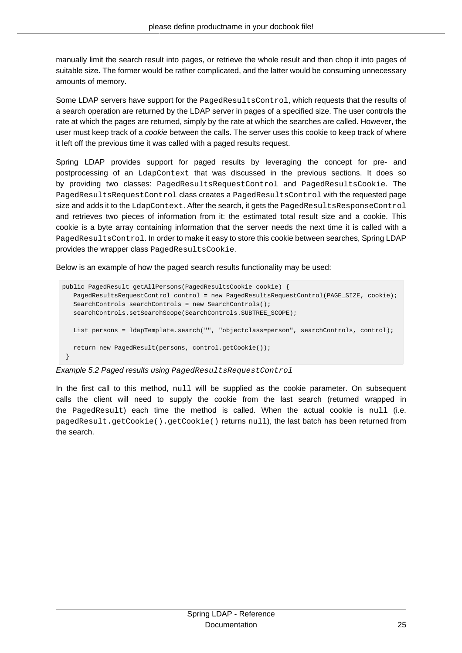manually limit the search result into pages, or retrieve the whole result and then chop it into pages of suitable size. The former would be rather complicated, and the latter would be consuming unnecessary amounts of memory.

Some LDAP servers have support for the PagedResultsControl, which requests that the results of a search operation are returned by the LDAP server in pages of a specified size. The user controls the rate at which the pages are returned, simply by the rate at which the searches are called. However, the user must keep track of a cookie between the calls. The server uses this cookie to keep track of where it left off the previous time it was called with a paged results request.

Spring LDAP provides support for paged results by leveraging the concept for pre- and postprocessing of an LdapContext that was discussed in the previous sections. It does so by providing two classes: PagedResultsRequestControl and PagedResultsCookie. The PagedResultsRequestControl class creates a PagedResultsControl with the requested page size and adds it to the LdapContext. After the search, it gets the PagedResultsResponseControl and retrieves two pieces of information from it: the estimated total result size and a cookie. This cookie is a byte array containing information that the server needs the next time it is called with a PagedResultsControl. In order to make it easy to store this cookie between searches, Spring LDAP provides the wrapper class PagedResultsCookie.

Below is an example of how the paged search results functionality may be used:

```
public PagedResult getAllPersons(PagedResultsCookie cookie) {
    PagedResultsRequestControl control = new PagedResultsRequestControl(PAGE_SIZE, cookie);
   SearchControls searchControls = new SearchControls();
    searchControls.setSearchScope(SearchControls.SUBTREE_SCOPE);
   List persons = ldapTemplate.search("", "objectclass=person", searchControls, control);
   return new PagedResult(persons, control.getCookie());
 }
```
Example 5.2 Paged results using PagedResultsRequestControl

In the first call to this method,  $null$  will be supplied as the cookie parameter. On subsequent calls the client will need to supply the cookie from the last search (returned wrapped in the PagedResult) each time the method is called. When the actual cookie is null (i.e. pagedResult.getCookie().getCookie() returns null), the last batch has been returned from the search.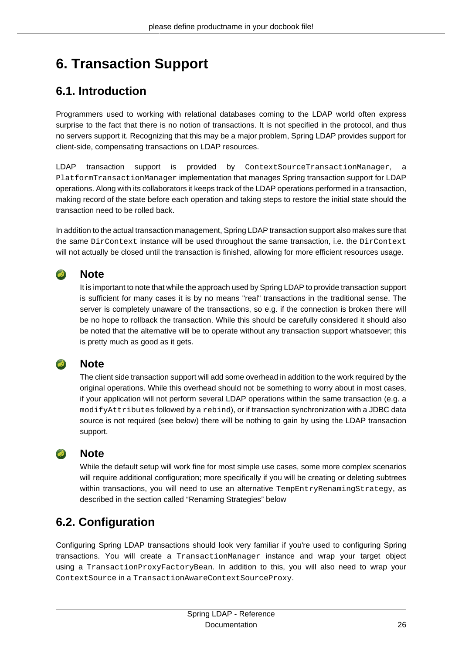# <span id="page-30-0"></span>**6. Transaction Support**

## <span id="page-30-1"></span>**6.1. Introduction**

Programmers used to working with relational databases coming to the LDAP world often express surprise to the fact that there is no notion of transactions. It is not specified in the protocol, and thus no servers support it. Recognizing that this may be a major problem, Spring LDAP provides support for client-side, compensating transactions on LDAP resources.

LDAP transaction support is provided by ContextSourceTransactionManager, a PlatformTransactionManager implementation that manages Spring transaction support for LDAP operations. Along with its collaborators it keeps track of the LDAP operations performed in a transaction, making record of the state before each operation and taking steps to restore the initial state should the transaction need to be rolled back.

In addition to the actual transaction management, Spring LDAP transaction support also makes sure that the same DirContext instance will be used throughout the same transaction, i.e. the DirContext will not actually be closed until the transaction is finished, allowing for more efficient resources usage.

#### $\bullet$ **Note**

It is important to note that while the approach used by Spring LDAP to provide transaction support is sufficient for many cases it is by no means "real" transactions in the traditional sense. The server is completely unaware of the transactions, so e.g. if the connection is broken there will be no hope to rollback the transaction. While this should be carefully considered it should also be noted that the alternative will be to operate without any transaction support whatsoever; this is pretty much as good as it gets.

### **Note**

The client side transaction support will add some overhead in addition to the work required by the original operations. While this overhead should not be something to worry about in most cases, if your application will not perform several LDAP operations within the same transaction (e.g. a modifyAttributes followed by a rebind), or if transaction synchronization with a JDBC data source is not required (see below) there will be nothing to gain by using the LDAP transaction support.

### **Note**

While the default setup will work fine for most simple use cases, some more complex scenarios will require additional configuration; more specifically if you will be creating or deleting subtrees within transactions, you will need to use an alternative TempEntryRenamingStrategy, as described in [the section called "Renaming Strategies"](#page-33-0) below

## <span id="page-30-2"></span>**6.2. Configuration**

Configuring Spring LDAP transactions should look very familiar if you're used to configuring Spring transactions. You will create a TransactionManager instance and wrap your target object using a TransactionProxyFactoryBean. In addition to this, you will also need to wrap your ContextSource in a TransactionAwareContextSourceProxy.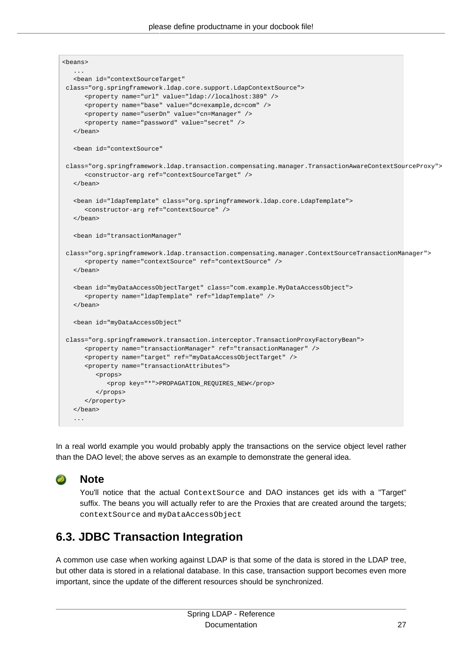| <beans></beans>                                                                                       |  |
|-------------------------------------------------------------------------------------------------------|--|
| .                                                                                                     |  |
| <bean <="" id="contextSourceTarget" td=""><td></td></bean>                                            |  |
| class="org.springframework.ldap.core.support.LdapContextSource">                                      |  |
| <property name="url" value="ldap://localhost:389"></property>                                         |  |
| <property name="base" value="dc=example,dc=com"></property>                                           |  |
| <property name="userDn" value="cn=Manager"></property>                                                |  |
| <property name="password" value="secret"></property>                                                  |  |
| $\langle$ bean>                                                                                       |  |
| <bean <="" id="contextSource" td=""><td></td></bean>                                                  |  |
| class="org.springframework.ldap.transaction.compensating.manager.TransactionAwareContextSourceProxy"> |  |
| <constructor-arg ref="contextSourceTarget"></constructor-arg>                                         |  |
| $\langle$ bean>                                                                                       |  |
| <bean class="org.springframework.ldap.core.LdapTemplate" id="ldapTemplate"></bean>                    |  |
| <constructor-arg ref="contextSource"></constructor-arg>                                               |  |
|                                                                                                       |  |
|                                                                                                       |  |
| <bean <="" id="transactionManager" td=""><td></td></bean>                                             |  |
| class="org.springframework.ldap.transaction.compensating.manager.ContextSourceTransactionManager">    |  |
| <property name="contextSource" ref="contextSource"></property>                                        |  |
|                                                                                                       |  |
|                                                                                                       |  |
| <bean class="com.example.MyDataAccessObject" id="myDataAccessObjectTarget"></bean>                    |  |
| <property name="ldapTemplate" ref="ldapTemplate"></property>                                          |  |
| $\langle$ /bean>                                                                                      |  |
| <bean <="" id="myDataAccessObject" td=""><td></td></bean>                                             |  |
| class="org.springframework.transaction.interceptor.TransactionProxyFactoryBean">                      |  |
| <property name="transactionManager" ref="transactionManager"></property>                              |  |
| <property name="target" ref="myDataAccessObjectTarget"></property>                                    |  |
| <property name="transactionAttributes"></property>                                                    |  |
| <props></props>                                                                                       |  |
| <prop key="*">PROPAGATION_REQUIRES_NEW</prop>                                                         |  |
|                                                                                                       |  |
|                                                                                                       |  |
| $\langle$ bean>                                                                                       |  |
| .                                                                                                     |  |
|                                                                                                       |  |

In a real world example you would probably apply the transactions on the service object level rather than the DAO level; the above serves as an example to demonstrate the general idea.

### $\overline{\phantom{a}}$

**Note**

You'll notice that the actual ContextSource and DAO instances get ids with a "Target" suffix. The beans you will actually refer to are the Proxies that are created around the targets; contextSource and myDataAccessObject

## <span id="page-31-0"></span>**6.3. JDBC Transaction Integration**

A common use case when working against LDAP is that some of the data is stored in the LDAP tree, but other data is stored in a relational database. In this case, transaction support becomes even more important, since the update of the different resources should be synchronized.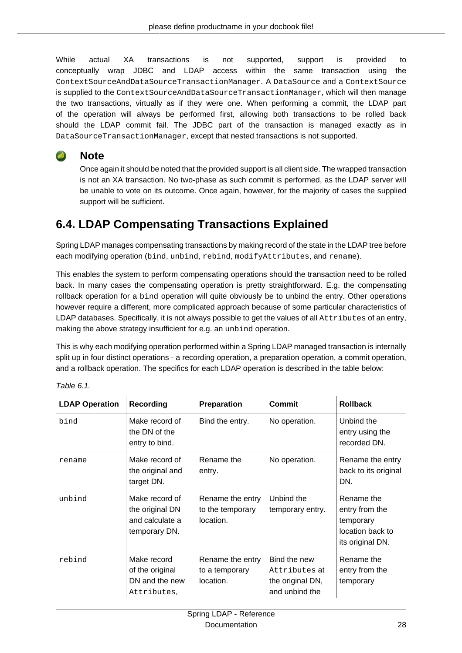While actual XA transactions is not supported, support is provided to conceptually wrap JDBC and LDAP access within the same transaction using the ContextSourceAndDataSourceTransactionManager. A DataSource and a ContextSource is supplied to the ContextSourceAndDataSourceTransactionManager, which will then manage the two transactions, virtually as if they were one. When performing a commit, the LDAP part of the operation will always be performed first, allowing both transactions to be rolled back should the LDAP commit fail. The JDBC part of the transaction is managed exactly as in DataSourceTransactionManager, except that nested transactions is not supported.

### $\bullet$

**Note**

Once again it should be noted that the provided support is all client side. The wrapped transaction is not an XA transaction. No two-phase as such commit is performed, as the LDAP server will be unable to vote on its outcome. Once again, however, for the majority of cases the supplied support will be sufficient.

## <span id="page-32-0"></span>**6.4. LDAP Compensating Transactions Explained**

Spring LDAP manages compensating transactions by making record of the state in the LDAP tree before each modifying operation (bind, unbind, rebind, modifyAttributes, and rename).

This enables the system to perform compensating operations should the transaction need to be rolled back. In many cases the compensating operation is pretty straightforward. E.g. the compensating rollback operation for a bind operation will quite obviously be to unbind the entry. Other operations however require a different, more complicated approach because of some particular characteristics of LDAP databases. Specifically, it is not always possible to get the values of all Attributes of an entry, making the above strategy insufficient for e.g. an unbind operation.

This is why each modifying operation performed within a Spring LDAP managed transaction is internally split up in four distinct operations - a recording operation, a preparation operation, a commit operation, and a rollback operation. The specifics for each LDAP operation is described in the table below:

| <b>LDAP Operation</b> | Recording                                                             | <b>Preparation</b>                                | Commit                                                              | <b>Rollback</b>                                                                   |
|-----------------------|-----------------------------------------------------------------------|---------------------------------------------------|---------------------------------------------------------------------|-----------------------------------------------------------------------------------|
| bind                  | Make record of<br>the DN of the<br>entry to bind.                     | Bind the entry.                                   | No operation.                                                       | Unbind the<br>entry using the<br>recorded DN.                                     |
| rename                | Make record of<br>the original and<br>target DN.                      | Rename the<br>entry.                              | No operation.                                                       | Rename the entry<br>back to its original<br>DN.                                   |
| unbind                | Make record of<br>the original DN<br>and calculate a<br>temporary DN. | Rename the entry<br>to the temporary<br>location. | Unbind the<br>temporary entry.                                      | Rename the<br>entry from the<br>temporary<br>location back to<br>its original DN. |
| rebind                | Make record<br>of the original<br>DN and the new<br>Attributes,       | Rename the entry<br>to a temporary<br>location.   | Bind the new<br>Attributes at<br>the original DN,<br>and unbind the | Rename the<br>entry from the<br>temporary                                         |

Table 6.1.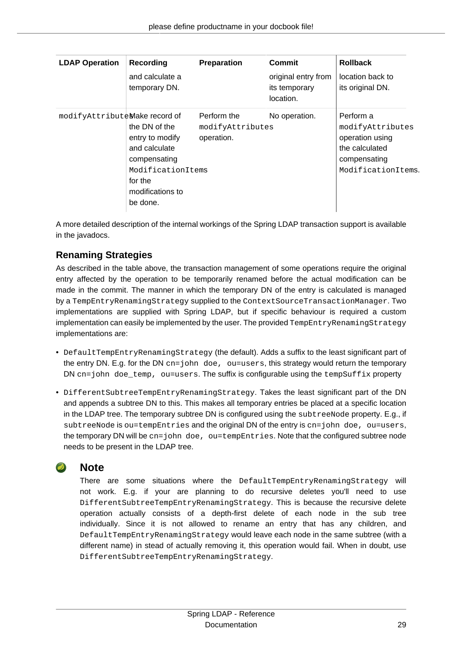| <b>LDAP Operation</b>         | Recording                                                                                                                         | Preparation                                   | <b>Commit</b>                                     | <b>Rollback</b>                                                                                          |
|-------------------------------|-----------------------------------------------------------------------------------------------------------------------------------|-----------------------------------------------|---------------------------------------------------|----------------------------------------------------------------------------------------------------------|
|                               | and calculate a<br>temporary DN.                                                                                                  |                                               | original entry from<br>its temporary<br>location. | location back to<br>its original DN.                                                                     |
| modifyAttributeMake record of | the DN of the<br>entry to modify<br>and calculate<br>compensating<br>ModificationItemS<br>for the<br>modifications to<br>be done. | Perform the<br>modifyAttributes<br>operation. | No operation.                                     | Perform a<br>modifyAttributes<br>operation using<br>the calculated<br>compensating<br>ModificationItemS. |

A more detailed description of the internal workings of the Spring LDAP transaction support is available in the javadocs.

### <span id="page-33-0"></span>**Renaming Strategies**

As described in the table above, the transaction management of some operations require the original entry affected by the operation to be temporarily renamed before the actual modification can be made in the commit. The manner in which the temporary DN of the entry is calculated is managed by a TempEntryRenamingStrategy supplied to the ContextSourceTransactionManager. Two implementations are supplied with Spring LDAP, but if specific behaviour is required a custom implementation can easily be implemented by the user. The provided TempEntryRenamingStrategy implementations are:

- DefaultTempEntryRenamingStrategy (the default). Adds a suffix to the least significant part of the entry DN. E.g. for the DN  $cn=$  john doe, ou=users, this strategy would return the temporary DN cn=john doe\_temp, ou=users. The suffix is configurable using the tempSuffix property
- DifferentSubtreeTempEntryRenamingStrategy. Takes the least significant part of the DN and appends a subtree DN to this. This makes all temporary entries be placed at a specific location in the LDAP tree. The temporary subtree DN is configured using the subtreeNode property. E.g., if subtreeNode is ou=tempEntries and the original DN of the entry is cn=john doe, ou=users, the temporary DN will be cn=john doe, ou=tempEntries. Note that the configured subtree node needs to be present in the LDAP tree.

### **Note**

There are some situations where the DefaultTempEntryRenamingStrategy will not work. E.g. if your are planning to do recursive deletes you'll need to use DifferentSubtreeTempEntryRenamingStrategy. This is because the recursive delete operation actually consists of a depth-first delete of each node in the sub tree individually. Since it is not allowed to rename an entry that has any children, and DefaultTempEntryRenamingStrategy would leave each node in the same subtree (with a different name) in stead of actually removing it, this operation would fail. When in doubt, use DifferentSubtreeTempEntryRenamingStrategy.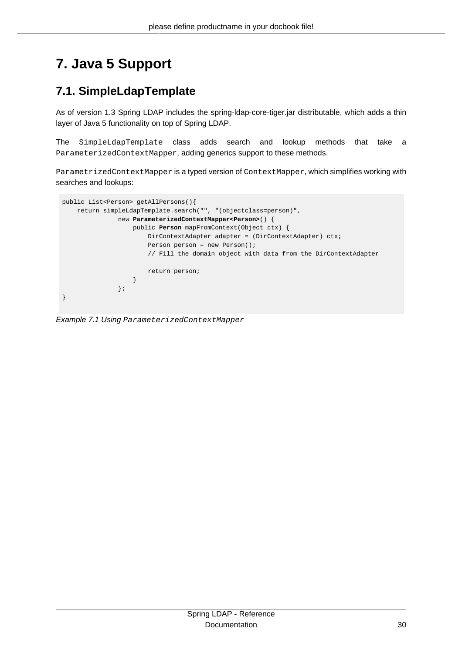# <span id="page-34-0"></span>**7. Java 5 Support**

## <span id="page-34-1"></span>**7.1. SimpleLdapTemplate**

As of version 1.3 Spring LDAP includes the spring-ldap-core-tiger.jar distributable, which adds a thin layer of Java 5 functionality on top of Spring LDAP.

The SimpleLdapTemplate class adds search and lookup methods that take a ParameterizedContextMapper, adding generics support to these methods.

ParametrizedContextMapper is a typed version of ContextMapper, which simplifies working with searches and lookups:



Example 7.1 Using ParameterizedContextMapper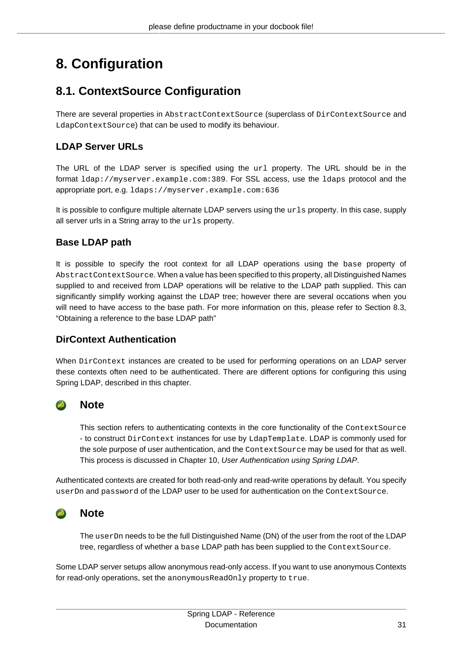# <span id="page-35-0"></span>**8. Configuration**

## <span id="page-35-1"></span>**8.1. ContextSource Configuration**

There are several properties in AbstractContextSource (superclass of DirContextSource and LdapContextSource) that can be used to modify its behaviour.

### <span id="page-35-2"></span>**LDAP Server URLs**

The URL of the LDAP server is specified using the url property. The URL should be in the format ldap://myserver.example.com:389. For SSL access, use the ldaps protocol and the appropriate port, e.g. ldaps://myserver.example.com:636

It is possible to configure multiple alternate LDAP servers using the  $urls$  property. In this case, supply all server urls in a String array to the urls property.

### <span id="page-35-3"></span>**Base LDAP path**

It is possible to specify the root context for all LDAP operations using the base property of AbstractContextSource. When a value has been specified to this property, all Distinguished Names supplied to and received from LDAP operations will be relative to the LDAP path supplied. This can significantly simplify working against the LDAP tree; however there are several occations when you will need to have access to the base path. For more information on this, please refer to [Section 8.3,](#page-39-3) ["Obtaining a reference to the base LDAP path"](#page-39-3)

### <span id="page-35-4"></span>**DirContext Authentication**

When  $DirContext$  instances are created to be used for performing operations on an LDAP server these contexts often need to be authenticated. There are different options for configuring this using Spring LDAP, described in this chapter.

### **Note**

This section refers to authenticating contexts in the core functionality of the ContextSource - to construct DirContext instances for use by LdapTemplate. LDAP is commonly used for the sole purpose of user authentication, and the ContextSource may be used for that as well. This process is discussed in Chapter 10, [User Authentication using Spring LDAP](#page-46-0).

Authenticated contexts are created for both read-only and read-write operations by default. You specify userDn and password of the LDAP user to be used for authentication on the ContextSource.

### $\bullet$

**Note**

The userDn needs to be the full Distinguished Name (DN) of the user from the root of the LDAP tree, regardless of whether a base LDAP path has been supplied to the ContextSource.

Some LDAP server setups allow anonymous read-only access. If you want to use anonymous Contexts for read-only operations, set the anonymousReadOnly property to true.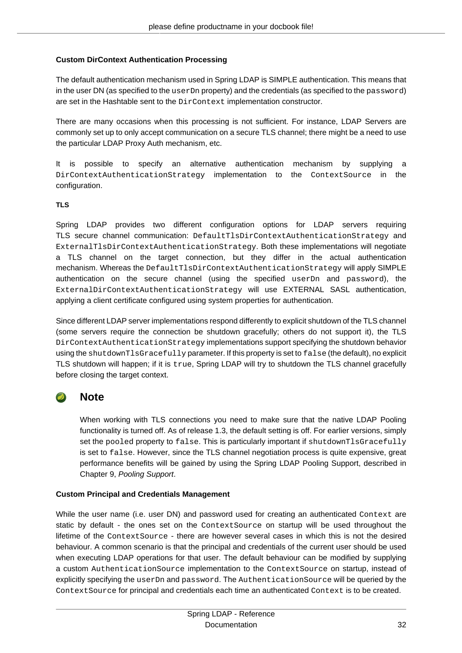#### <span id="page-36-0"></span>**Custom DirContext Authentication Processing**

The default authentication mechanism used in Spring LDAP is SIMPLE authentication. This means that in the user DN (as specified to the userDn property) and the credentials (as specified to the password) are set in the Hashtable sent to the DirContext implementation constructor.

There are many occasions when this processing is not sufficient. For instance, LDAP Servers are commonly set up to only accept communication on a secure TLS channel; there might be a need to use the particular LDAP Proxy Auth mechanism, etc.

It is possible to specify an alternative authentication mechanism by supplying a DirContextAuthenticationStrategy implementation to the ContextSource in the configuration.

### **TLS**

Spring LDAP provides two different configuration options for LDAP servers requiring TLS secure channel communication: DefaultTlsDirContextAuthenticationStrategy and ExternalTlsDirContextAuthenticationStrategy. Both these implementations will negotiate a TLS channel on the target connection, but they differ in the actual authentication mechanism. Whereas the DefaultTlsDirContextAuthenticationStrategy will apply SIMPLE authentication on the secure channel (using the specified userDn and password), the ExternalDirContextAuthenticationStrategy will use EXTERNAL SASL authentication, applying a client certificate configured using system properties for authentication.

Since different LDAP server implementations respond differently to explicit shutdown of the TLS channel (some servers require the connection be shutdown gracefully; others do not support it), the TLS DirContextAuthenticationStrategy implementations support specifying the shutdown behavior using the shutdownTlsGracefully parameter. If this property is set to false (the default), no explicit TLS shutdown will happen; if it is true, Spring LDAP will try to shutdown the TLS channel gracefully before closing the target context.

### **Note**

When working with TLS connections you need to make sure that the native LDAP Pooling functionality is turned off. As of release 1.3, the default setting is off. For earlier versions, simply set the pooled property to false. This is particularly important if shutdownTlsGracefully is set to false. However, since the TLS channel negotiation process is quite expensive, great performance benefits will be gained by using the Spring LDAP Pooling Support, described in Chapter 9, [Pooling Support](#page-41-0).

### <span id="page-36-1"></span>**Custom Principal and Credentials Management**

While the user name (i.e. user DN) and password used for creating an authenticated Context are static by default - the ones set on the ContextSource on startup will be used throughout the lifetime of the ContextSource - there are however several cases in which this is not the desired behaviour. A common scenario is that the principal and credentials of the current user should be used when executing LDAP operations for that user. The default behaviour can be modified by supplying a custom AuthenticationSource implementation to the ContextSource on startup, instead of explicitly specifying the userDn and password. The AuthenticationSource will be queried by the ContextSource for principal and credentials each time an authenticated Context is to be created.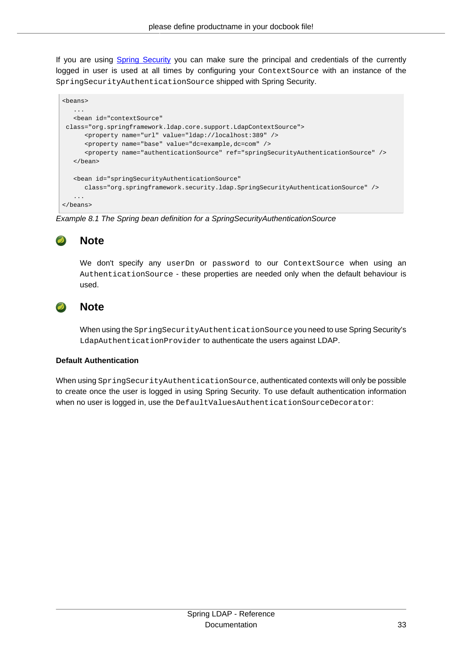If you are using [Spring Security](http://springsecurity.org) you can make sure the principal and credentials of the currently logged in user is used at all times by configuring your ContextSource with an instance of the SpringSecurityAuthenticationSource shipped with Spring Security.

```
<beans>
    ...
    <bean id="contextSource"
 class="org.springframework.ldap.core.support.LdapContextSource">
      <property name="url" value="ldap://localhost:389" />
       <property name="base" value="dc=example,dc=com" />
       <property name="authenticationSource" ref="springSecurityAuthenticationSource" />
   </bean>
    <bean id="springSecurityAuthenticationSource"
      class="org.springframework.security.ldap.SpringSecurityAuthenticationSource" />
    ...
</beans>
```
Example 8.1 The Spring bean definition for a SpringSecurityAuthenticationSource

#### $\bullet$ **Note**

We don't specify any userDn or password to our ContextSource when using an AuthenticationSource - these properties are needed only when the default behaviour is used.

### **Note**

When using the SpringSecurityAuthenticationSource you need to use Spring Security's LdapAuthenticationProvider to authenticate the users against LDAP.

#### <span id="page-37-0"></span>**Default Authentication**

When using SpringSecurityAuthenticationSource, authenticated contexts will only be possible to create once the user is logged in using Spring Security. To use default authentication information when no user is logged in, use the DefaultValuesAuthenticationSourceDecorator: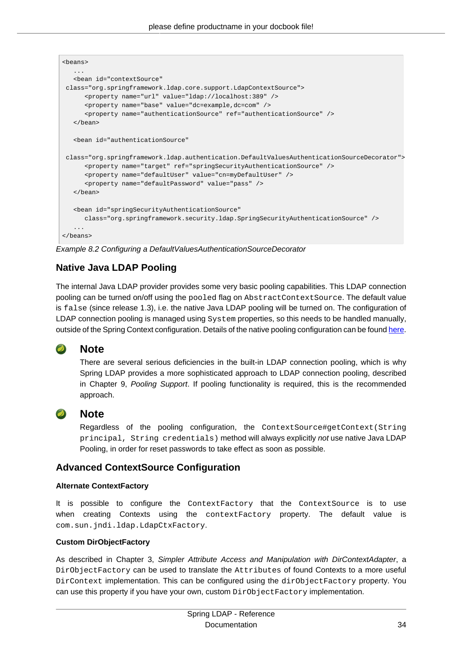```
<beans>
 ...
    <bean id="contextSource"
 class="org.springframework.ldap.core.support.LdapContextSource">
      <property name="url" value="ldap://localhost:389" />
      <property name="base" value="dc=example,dc=com" />
      <property name="authenticationSource" ref="authenticationSource" />
    </bean>
    <bean id="authenticationSource"
 class="org.springframework.ldap.authentication.DefaultValuesAuthenticationSourceDecorator">
      <property name="target" ref="springSecurityAuthenticationSource" />
      <property name="defaultUser" value="cn=myDefaultUser" />
       <property name="defaultPassword" value="pass" />
   </bean>
    <bean id="springSecurityAuthenticationSource"
      class="org.springframework.security.ldap.SpringSecurityAuthenticationSource" />
</beans>
```
Example 8.2 Configuring a DefaultValuesAuthenticationSourceDecorator

### <span id="page-38-0"></span>**Native Java LDAP Pooling**

The internal Java LDAP provider provides some very basic pooling capabilities. This LDAP connection pooling can be turned on/off using the pooled flag on AbstractContextSource. The default value is false (since release 1.3), i.e. the native Java LDAP pooling will be turned on. The configuration of LDAP connection pooling is managed using System properties, so this needs to be handled manually, outside of the Spring Context configuration. Details of the native pooling configuration can be found [here](http://java.sun.com/products/jndi/tutorial/ldap/connect/config.html).

### $\bullet$

### **Note**

There are several serious deficiencies in the built-in LDAP connection pooling, which is why Spring LDAP provides a more sophisticated approach to LDAP connection pooling, described in Chapter 9, [Pooling Support](#page-41-0). If pooling functionality is required, this is the recommended approach.

#### $\overline{\phantom{a}}$ **Note**

Regardless of the pooling configuration, the ContextSource#getContext(String principal, String credentials) method will always explicitly not use native Java LDAP Pooling, in order for reset passwords to take effect as soon as possible.

### <span id="page-38-1"></span>**Advanced ContextSource Configuration**

### <span id="page-38-2"></span>**Alternate ContextFactory**

It is possible to configure the ContextFactory that the ContextSource is to use when creating Contexts using the contextFactory property. The default value is com.sun.jndi.ldap.LdapCtxFactory.

### <span id="page-38-3"></span>**Custom DirObjectFactory**

As described in Chapter 3, [Simpler Attribute Access and Manipulation with DirContextAdapter](#page-18-0), a DirObjectFactory can be used to translate the Attributes of found Contexts to a more useful DirContext implementation. This can be configured using the dirObjectFactory property. You can use this property if you have your own, custom DirObjectFactory implementation.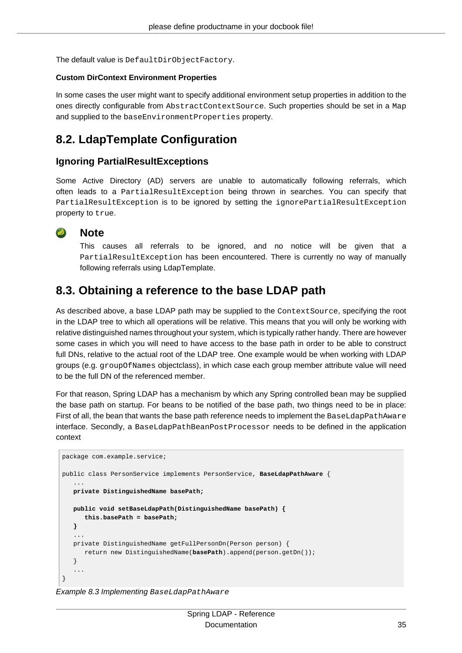The default value is DefaultDirObjectFactory.

#### <span id="page-39-0"></span>**Custom DirContext Environment Properties**

In some cases the user might want to specify additional environment setup properties in addition to the ones directly configurable from AbstractContextSource. Such properties should be set in a Map and supplied to the baseEnvironmentProperties property.

### <span id="page-39-1"></span>**8.2. LdapTemplate Configuration**

### <span id="page-39-2"></span>**Ignoring PartialResultExceptions**

Some Active Directory (AD) servers are unable to automatically following referrals, which often leads to a PartialResultException being thrown in searches. You can specify that PartialResultException is to be ignored by setting the ignorePartialResultException property to true.



#### **Note**

This causes all referrals to be ignored, and no notice will be given that a PartialResultException has been encountered. There is currently no way of manually following referrals using LdapTemplate.

### <span id="page-39-3"></span>**8.3. Obtaining a reference to the base LDAP path**

As described above, a base LDAP path may be supplied to the Context Source, specifying the root in the LDAP tree to which all operations will be relative. This means that you will only be working with relative distinguished names throughout your system, which is typically rather handy. There are however some cases in which you will need to have access to the base path in order to be able to construct full DNs, relative to the actual root of the LDAP tree. One example would be when working with LDAP groups (e.g. groupOfNames objectclass), in which case each group member attribute value will need to be the full DN of the referenced member.

For that reason, Spring LDAP has a mechanism by which any Spring controlled bean may be supplied the base path on startup. For beans to be notified of the base path, two things need to be in place: First of all, the bean that wants the base path reference needs to implement the BaseLdapPathAware interface. Secondly, a BaseLdapPathBeanPostProcessor needs to be defined in the application context

```
package com.example.service;
public class PersonService implements PersonService, BaseLdapPathAware {
 ...
   private DistinguishedName basePath;
   public void setBaseLdapPath(DistinguishedName basePath) {
       this.basePath = basePath;
    }
 ...
   private DistinguishedName getFullPersonDn(Person person) {
       return new DistinguishedName(basePath).append(person.getDn());
    }
 ...
}
```
Example 8.3 Implementing BaseLdapPathAware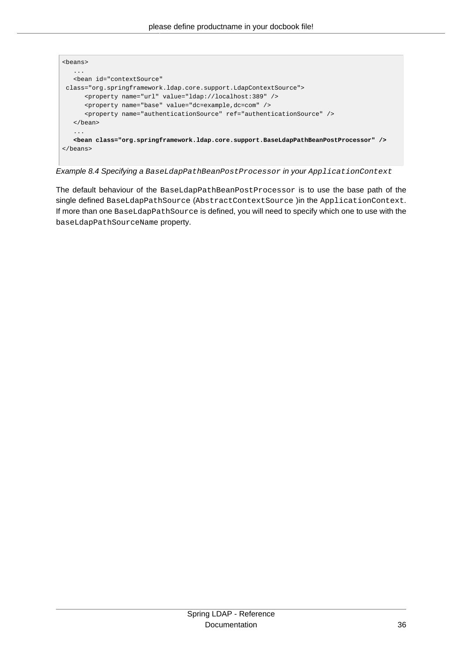

Example 8.4 Specifying a BaseLdapPathBeanPostProcessor in your ApplicationContext

The default behaviour of the BaseLdapPathBeanPostProcessor is to use the base path of the single defined BaseLdapPathSource (AbstractContextSource ) in the ApplicationContext. If more than one BaseLdapPathSource is defined, you will need to specify which one to use with the baseLdapPathSourceName property.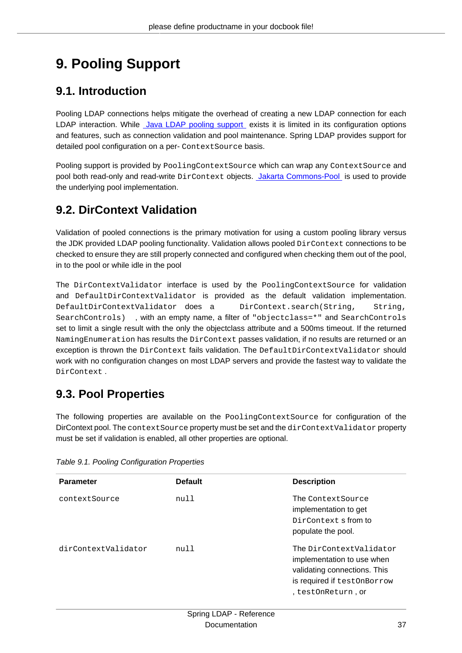# <span id="page-41-0"></span>**9. Pooling Support**

## <span id="page-41-1"></span>**9.1. Introduction**

Pooling LDAP connections helps mitigate the overhead of creating a new LDAP connection for each LDAP interaction. While [Java LDAP pooling support](http://java.sun.com/products/jndi/tutorial/ldap/connect/pool.html) exists it is limited in its configuration options and features, such as connection validation and pool maintenance. Spring LDAP provides support for detailed pool configuration on a per- ContextSource basis.

Pooling support is provided by PoolingContextSource which can wrap any ContextSource and pool both read-only and read-write DirContext objects. [Jakarta Commons-Pool](http://commons.apache.org/pool/index.html) is used to provide the underlying pool implementation.

## <span id="page-41-2"></span>**9.2. DirContext Validation**

Validation of pooled connections is the primary motivation for using a custom pooling library versus the JDK provided LDAP pooling functionality. Validation allows pooled DirContext connections to be checked to ensure they are still properly connected and configured when checking them out of the pool, in to the pool or while idle in the pool

The DirContextValidator interface is used by the PoolingContextSource for validation and DefaultDirContextValidator is provided as the default validation implementation. DefaultDirContextValidator does a DirContext.search(String, String, SearchControls) , with an empty name, a filter of "objectclass=\*" and SearchControls set to limit a single result with the only the objectclass attribute and a 500ms timeout. If the returned NamingEnumeration has results the DirContext passes validation, if no results are returned or an exception is thrown the DirContext fails validation. The DefaultDirContextValidator should work with no configuration changes on most LDAP servers and provide the fastest way to validate the DirContext .

## <span id="page-41-3"></span>**9.3. Pool Properties**

The following properties are available on the PoolingContextSource for configuration of the DirContext pool. The contextSource property must be set and the dirContextValidator property must be set if validation is enabled, all other properties are optional.

| <b>Parameter</b>    | <b>Default</b> | <b>Description</b>                                                                                                                         |
|---------------------|----------------|--------------------------------------------------------------------------------------------------------------------------------------------|
| contextSource       | null           | The Context Source<br>implementation to get<br>DirContext <b>s</b> from to<br>populate the pool.                                           |
| dirContextValidator | null           | The DirContextValidator<br>implementation to use when<br>validating connections. This<br>is required if testOnBorrow<br>, testOnReturn, or |

Table 9.1. Pooling Configuration Properties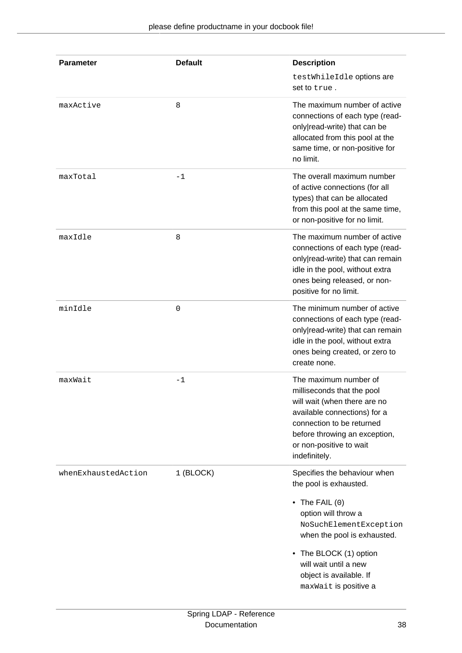| Parameter           | <b>Default</b> | <b>Description</b><br>testWhileIdle options are<br>set to true.                                                                                                                                                                                                         |
|---------------------|----------------|-------------------------------------------------------------------------------------------------------------------------------------------------------------------------------------------------------------------------------------------------------------------------|
| maxActive           | 8              | The maximum number of active<br>connections of each type (read-<br>only read-write) that can be<br>allocated from this pool at the<br>same time, or non-positive for<br>no limit.                                                                                       |
| maxTotal            | $-1$           | The overall maximum number<br>of active connections (for all<br>types) that can be allocated<br>from this pool at the same time,<br>or non-positive for no limit.                                                                                                       |
| maxIdle             | 8              | The maximum number of active<br>connections of each type (read-<br>only read-write) that can remain<br>idle in the pool, without extra<br>ones being released, or non-<br>positive for no limit.                                                                        |
| minIdle             | 0              | The minimum number of active<br>connections of each type (read-<br>only read-write) that can remain<br>idle in the pool, without extra<br>ones being created, or zero to<br>create none.                                                                                |
| maxWait             | $-1$           | The maximum number of<br>milliseconds that the pool<br>will wait (when there are no<br>available connections) for a<br>connection to be returned<br>before throwing an exception,<br>or non-positive to wait<br>indefinitely.                                           |
| whenExhaustedAction | 1 (BLOCK)      | Specifies the behaviour when<br>the pool is exhausted.<br>$\bullet$ The FAIL (0)<br>option will throw a<br>NoSuchElementException<br>when the pool is exhausted.<br>• The BLOCK (1) option<br>will wait until a new<br>object is available. If<br>maxWait is positive a |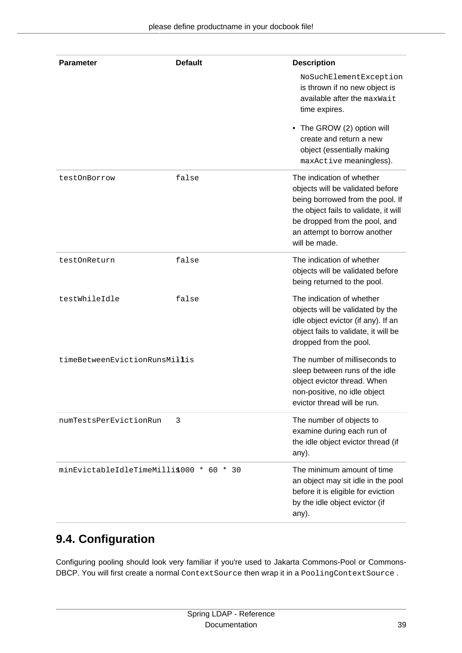| <b>Parameter</b>                         | <b>Default</b> | <b>Description</b>                                                                                                                                                                                                           |
|------------------------------------------|----------------|------------------------------------------------------------------------------------------------------------------------------------------------------------------------------------------------------------------------------|
|                                          |                | NoSuchElementException<br>is thrown if no new object is<br>available after the maxWait<br>time expires.                                                                                                                      |
|                                          |                | The GROW (2) option will<br>$\bullet$<br>create and return a new<br>object (essentially making<br>maxActive meaningless).                                                                                                    |
| testOnBorrow                             | false          | The indication of whether<br>objects will be validated before<br>being borrowed from the pool. If<br>the object fails to validate, it will<br>be dropped from the pool, and<br>an attempt to borrow another<br>will be made. |
| testOnReturn                             | false          | The indication of whether<br>objects will be validated before<br>being returned to the pool.                                                                                                                                 |
| testWhileIdle                            | false          | The indication of whether<br>objects will be validated by the<br>idle object evictor (if any). If an<br>object fails to validate, it will be<br>dropped from the pool.                                                       |
| timeBetweenEvictionRunsMillis            |                | The number of milliseconds to<br>sleep between runs of the idle<br>object evictor thread. When<br>non-positive, no idle object<br>evictor thread will be run                                                                 |
| numTestsPerEvictionRun                   | 3              | The number of objects to<br>examine during each run of<br>the idle object evictor thread (if<br>any).                                                                                                                        |
| minEvictableIdleTimeMilli\$000 * 60 * 30 |                | The minimum amount of time<br>an object may sit idle in the pool<br>before it is eligible for eviction<br>by the idle object evictor (if<br>any).                                                                            |

## <span id="page-43-0"></span>**9.4. Configuration**

Configuring pooling should look very familiar if you're used to Jakarta Commons-Pool or Commons-DBCP. You will first create a normal ContextSource then wrap it in a PoolingContextSource.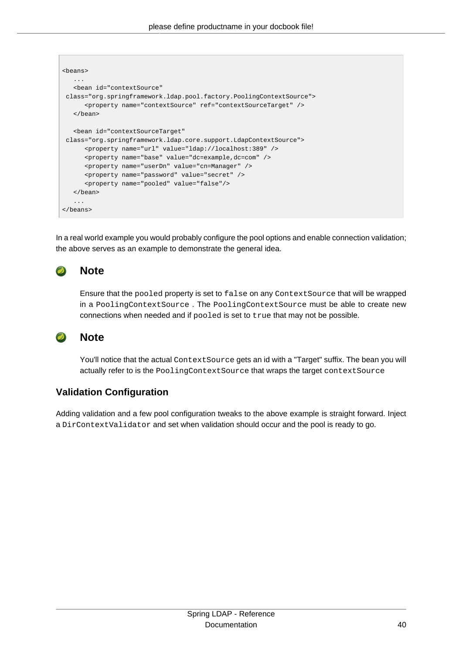| <beans></beans>                                                                                                                                                                                                              |
|------------------------------------------------------------------------------------------------------------------------------------------------------------------------------------------------------------------------------|
| .<br><bean <br="" id="contextSource">class="org.springframework.ldap.pool.factory.PoolingContextSource"&gt;<br/><property name="contextSource" ref="contextSourceTarget"></property><br/><math>\langle</math>bean&gt;</bean> |
| <bean <br="" id="contextSourceTarget">class="org.springframework.ldap.core.support.LdapContextSource"&gt;</bean>                                                                                                             |
| <property name="url" value="ldap://localhost:389"></property>                                                                                                                                                                |
| <property name="base" value="dc=example,dc=com"></property>                                                                                                                                                                  |
| <property name="userDn" value="cn=Manager"></property>                                                                                                                                                                       |
| <property name="password" value="secret"></property>                                                                                                                                                                         |
| <property name="pooled" value="false"></property>                                                                                                                                                                            |
| $\langle$ bean>                                                                                                                                                                                                              |
| $\cdots$                                                                                                                                                                                                                     |
|                                                                                                                                                                                                                              |

In a real world example you would probably configure the pool options and enable connection validation; the above serves as an example to demonstrate the general idea.

#### **Note**  $\bullet$

Ensure that the pooled property is set to false on any ContextSource that will be wrapped in a PoolingContextSource . The PoolingContextSource must be able to create new connections when needed and if pooled is set to true that may not be possible.

#### **Note**  $\bullet$

You'll notice that the actual ContextSource gets an id with a "Target" suffix. The bean you will actually refer to is the PoolingContextSource that wraps the target contextSource

### <span id="page-44-0"></span>**Validation Configuration**

Adding validation and a few pool configuration tweaks to the above example is straight forward. Inject a DirContextValidator and set when validation should occur and the pool is ready to go.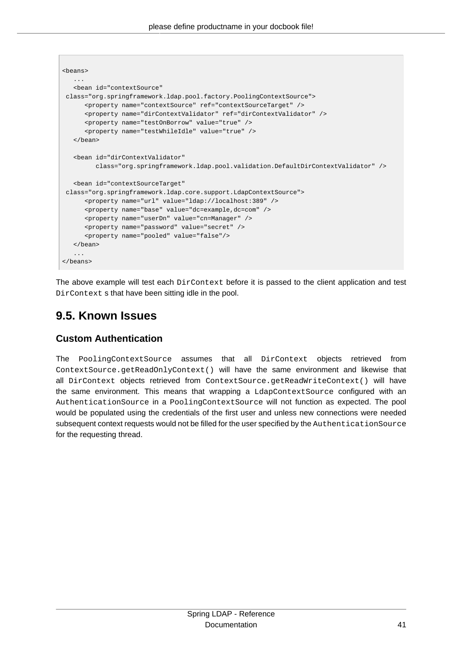```
<beans>
 ...
   <bean id="contextSource"
 class="org.springframework.ldap.pool.factory.PoolingContextSource">
      <property name="contextSource" ref="contextSourceTarget" />
      <property name="dirContextValidator" ref="dirContextValidator" />
      <property name="testOnBorrow" value="true" />
      <property name="testWhileIdle" value="true" />
    </bean>
    <bean id="dirContextValidator"
         class="org.springframework.ldap.pool.validation.DefaultDirContextValidator" />
    <bean id="contextSourceTarget"
 class="org.springframework.ldap.core.support.LdapContextSource">
      <property name="url" value="ldap://localhost:389" />
      <property name="base" value="dc=example,dc=com" />
      <property name="userDn" value="cn=Manager" />
      <property name="password" value="secret" />
      <property name="pooled" value="false"/>
   </bean>
    ...
</beans>
```
The above example will test each DirContext before it is passed to the client application and test DirContext s that have been sitting idle in the pool.

### <span id="page-45-0"></span>**9.5. Known Issues**

### <span id="page-45-1"></span>**Custom Authentication**

The PoolingContextSource assumes that all DirContext objects retrieved from ContextSource.getReadOnlyContext() will have the same environment and likewise that all DirContext objects retrieved from ContextSource.getReadWriteContext() will have the same environment. This means that wrapping a LdapContextSource configured with an AuthenticationSource in a PoolingContextSource will not function as expected. The pool would be populated using the credentials of the first user and unless new connections were needed subsequent context requests would not be filled for the user specified by the AuthenticationSource for the requesting thread.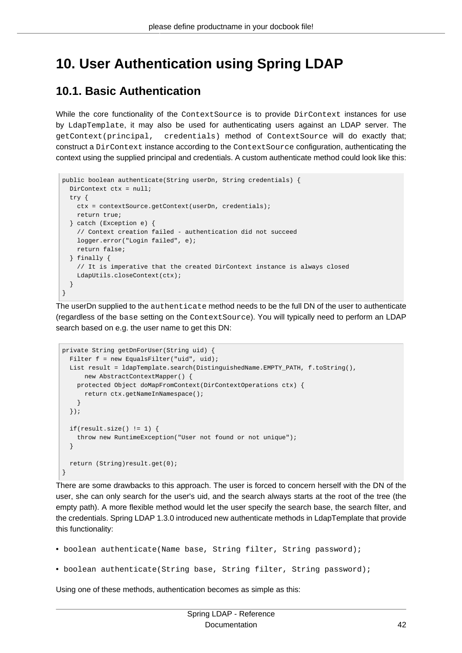## <span id="page-46-0"></span>**10. User Authentication using Spring LDAP**

## <span id="page-46-1"></span>**10.1. Basic Authentication**

While the core functionality of the ContextSource is to provide DirContext instances for use by LdapTemplate, it may also be used for authenticating users against an LDAP server. The getContext(principal, credentials) method of ContextSource will do exactly that; construct a DirContext instance according to the ContextSource configuration, authenticating the context using the supplied principal and credentials. A custom authenticate method could look like this:

```
public boolean authenticate(String userDn, String credentials) {
  DirContext ctx = null;
  try {
    ctx = contextSource.getContext(userDn, credentials);
    return true;
   } catch (Exception e) {
    // Context creation failed - authentication did not succeed
    logger.error("Login failed", e);
    return false;
  } finally {
    // It is imperative that the created DirContext instance is always closed
    LdapUtils.closeContext(ctx);
   }
}
```
The userDn supplied to the authenticate method needs to be the full DN of the user to authenticate (regardless of the base setting on the ContextSource). You will typically need to perform an LDAP search based on e.g. the user name to get this DN:

```
private String getDnForUser(String uid) {
 Filter f = new EqualsFilter("uid",uid); List result = ldapTemplate.search(DistinguishedName.EMPTY_PATH, f.toString(),
      new AbstractContextMapper() {
    protected Object doMapFromContext(DirContextOperations ctx) {
      return ctx.getNameInNamespace();
    }
  });
 if(result.size() != 1) throw new RuntimeException("User not found or not unique");
   }
   return (String)result.get(0);
}
```
There are some drawbacks to this approach. The user is forced to concern herself with the DN of the user, she can only search for the user's uid, and the search always starts at the root of the tree (the empty path). A more flexible method would let the user specify the search base, the search filter, and the credentials. Spring LDAP 1.3.0 introduced new authenticate methods in LdapTemplate that provide this functionality:

- boolean authenticate(Name base, String filter, String password);
- boolean authenticate(String base, String filter, String password);

Using one of these methods, authentication becomes as simple as this: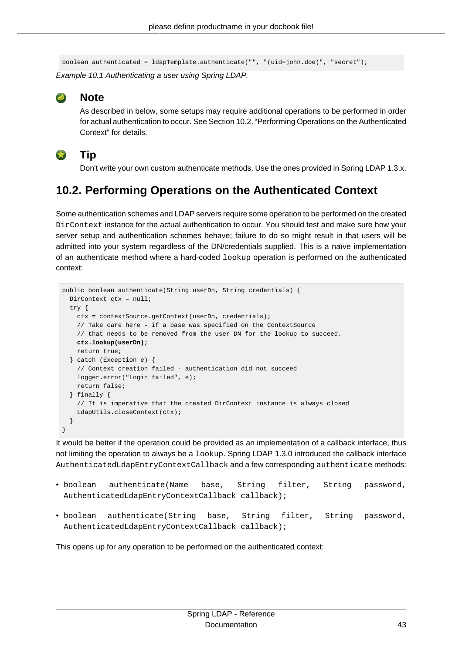boolean authenticated = ldapTemplate.authenticate("", "(uid=john.doe)", "secret");

Example 10.1 Authenticating a user using Spring LDAP.



### **Note**

**Tip**

As described in below, some setups may require additional operations to be performed in order for actual authentication to occur. See [Section 10.2, "Performing Operations on the Authenticated](#page-47-0) [Context"](#page-47-0) for details.



Don't write your own custom authenticate methods. Use the ones provided in Spring LDAP 1.3.x.

## <span id="page-47-0"></span>**10.2. Performing Operations on the Authenticated Context**

Some authentication schemes and LDAP servers require some operation to be performed on the created DirContext instance for the actual authentication to occur. You should test and make sure how your server setup and authentication schemes behave; failure to do so might result in that users will be admitted into your system regardless of the DN/credentials supplied. This is a naïve implementation of an authenticate method where a hard-coded lookup operation is performed on the authenticated context:

```
public boolean authenticate(String userDn, String credentials) {
  DirContext ctx = null;
  try {
    ctx = contextSource.getContext(userDn, credentials);
     // Take care here - if a base was specified on the ContextSource
     // that needs to be removed from the user DN for the lookup to succeed.
    ctx.lookup(userDn); 
    return true;
   } catch (Exception e) {
     // Context creation failed - authentication did not succeed
    logger.error("Login failed", e);
    return false;
   } finally {
     // It is imperative that the created DirContext instance is always closed
    LdapUtils.closeContext(ctx);
   }
}
```
It would be better if the operation could be provided as an implementation of a callback interface, thus not limiting the operation to always be a lookup. Spring LDAP 1.3.0 introduced the callback interface AuthenticatedLdapEntryContextCallback and a few corresponding authenticate methods:

- boolean authenticate(Name base, String filter, String password, AuthenticatedLdapEntryContextCallback callback);
- boolean authenticate(String base, String filter, String password, AuthenticatedLdapEntryContextCallback callback);

This opens up for any operation to be performed on the authenticated context: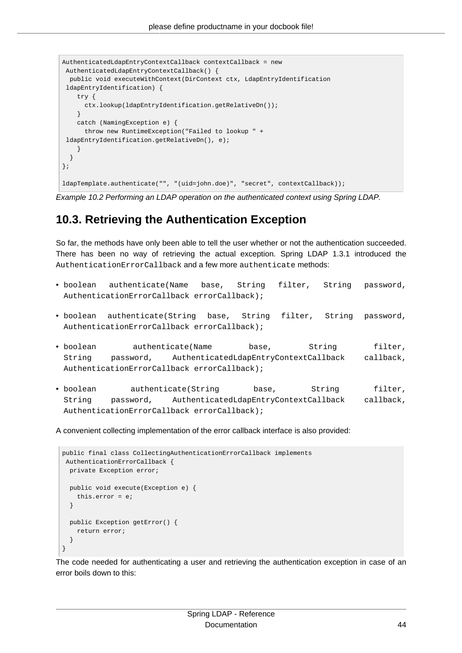```
AuthenticatedLdapEntryContextCallback contextCallback = new
 AuthenticatedLdapEntryContextCallback() {
  public void executeWithContext(DirContext ctx, LdapEntryIdentification
 ldapEntryIdentification) {
    try {
      ctx.lookup(ldapEntryIdentification.getRelativeDn());
     }
    catch (NamingException e) {
      throw new RuntimeException("Failed to lookup " +
 ldapEntryIdentification.getRelativeDn(), e);
    }
  }
};
ldapTemplate.authenticate("", "(uid=john.doe)", "secret", contextCallback));
```
Example 10.2 Performing an LDAP operation on the authenticated context using Spring LDAP.

## <span id="page-48-0"></span>**10.3. Retrieving the Authentication Exception**

So far, the methods have only been able to tell the user whether or not the authentication succeeded. There has been no way of retrieving the actual exception. Spring LDAP 1.3.1 introduced the AuthenticationErrorCallback and a few more authenticate methods:

- boolean authenticate(Name base, String filter, String password, AuthenticationErrorCallback errorCallback);
- boolean authenticate(String base, String filter, String password, AuthenticationErrorCallback errorCallback);
- boolean authenticate(Name base, String filter, String password, AuthenticatedLdapEntryContextCallback callback, AuthenticationErrorCallback errorCallback);
- boolean authenticate(String base, String filter, String password, AuthenticatedLdapEntryContextCallback callback, AuthenticationErrorCallback errorCallback);

A convenient collecting implementation of the error callback interface is also provided:

```
public final class CollectingAuthenticationErrorCallback implements
 AuthenticationErrorCallback {
  private Exception error;
  public void execute(Exception e) {
    this.error = e;
  }
  public Exception getError() {
    return error;
   }
}
```
The code needed for authenticating a user and retrieving the authentication exception in case of an error boils down to this: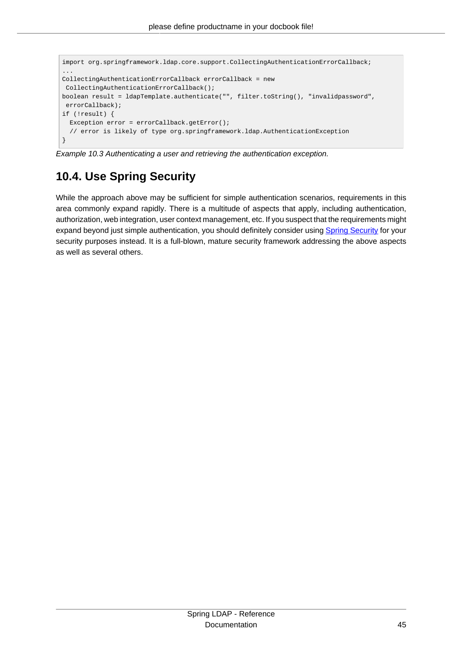```
import org.springframework.ldap.core.support.CollectingAuthenticationErrorCallback;
...
CollectingAuthenticationErrorCallback errorCallback = new
 CollectingAuthenticationErrorCallback();
boolean result = ldapTemplate.authenticate("", filter.toString(), "invalidpassword",
 errorCallback);
if (!result) {
 Exception error = errorCallback.getError();
   // error is likely of type org.springframework.ldap.AuthenticationException
}
```
<span id="page-49-0"></span>Example 10.3 Authenticating a user and retrieving the authentication exception.

## **10.4. Use Spring Security**

While the approach above may be sufficient for simple authentication scenarios, requirements in this area commonly expand rapidly. There is a multitude of aspects that apply, including authentication, authorization, web integration, user context management, etc. If you suspect that the requirements might expand beyond just simple authentication, you should definitely consider using [Spring Security](http://static.springsource.org/spring-security/site/) for your security purposes instead. It is a full-blown, mature security framework addressing the above aspects as well as several others.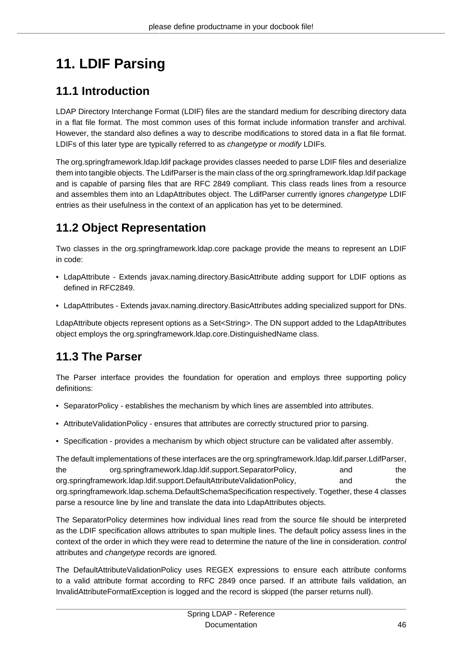# <span id="page-50-0"></span>**11. LDIF Parsing**

## <span id="page-50-1"></span>**11.1 Introduction**

LDAP Directory Interchange Format (LDIF) files are the standard medium for describing directory data in a flat file format. The most common uses of this format include information transfer and archival. However, the standard also defines a way to describe modifications to stored data in a flat file format. LDIFs of this later type are typically referred to as changetype or modify LDIFs.

The org.springframework.ldap.ldif package provides classes needed to parse LDIF files and deserialize them into tangible objects. The LdifParser is the main class of the org.springframework.ldap.ldif package and is capable of parsing files that are RFC 2849 compliant. This class reads lines from a resource and assembles them into an LdapAttributes object. The LdifParser currently ignores changetype LDIF entries as their usefulness in the context of an application has yet to be determined.

## <span id="page-50-2"></span>**11.2 Object Representation**

Two classes in the org.springframework.ldap.core package provide the means to represent an LDIF in code:

- LdapAttribute Extends javax.naming.directory.BasicAttribute adding support for LDIF options as defined in RFC2849.
- LdapAttributes Extends javax.naming.directory.BasicAttributes adding specialized support for DNs.

LdapAttribute objects represent options as a Set<String>. The DN support added to the LdapAttributes object employs the org.springframework.ldap.core.DistinguishedName class.

## <span id="page-50-3"></span>**11.3 The Parser**

The Parser interface provides the foundation for operation and employs three supporting policy definitions:

- SeparatorPolicy establishes the mechanism by which lines are assembled into attributes.
- AttributeValidationPolicy ensures that attributes are correctly structured prior to parsing.
- Specification provides a mechanism by which object structure can be validated after assembly.

The default implementations of these interfaces are the org.springframework.ldap.ldif.parser.LdifParser, the org.springframework.Idap.Idif.support.SeparatorPolicy, and the org.springframework.ldap.ldif.support.DefaultAttributeValidationPolicy, and and the org.springframework.ldap.schema.DefaultSchemaSpecification respectively. Together, these 4 classes parse a resource line by line and translate the data into LdapAttributes objects.

The SeparatorPolicy determines how individual lines read from the source file should be interpreted as the LDIF specification allows attributes to span multiple lines. The default policy assess lines in the context of the order in which they were read to determine the nature of the line in consideration. control attributes and changetype records are ignored.

The DefaultAttributeValidationPolicy uses REGEX expressions to ensure each attribute conforms to a valid attribute format according to RFC 2849 once parsed. If an attribute fails validation, an InvalidAttributeFormatException is logged and the record is skipped (the parser returns null).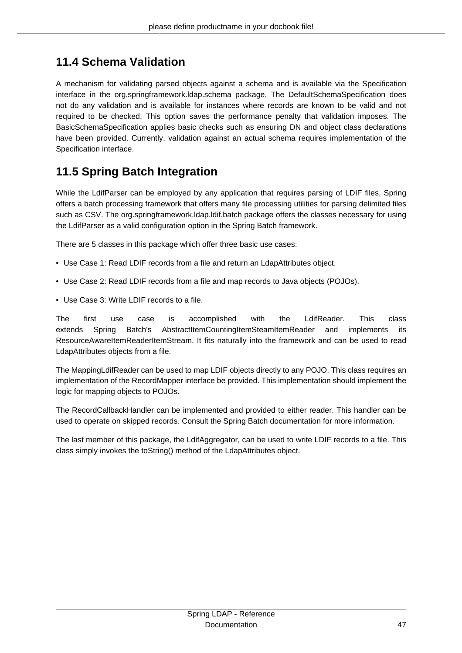## <span id="page-51-0"></span>**11.4 Schema Validation**

A mechanism for validating parsed objects against a schema and is available via the Specification interface in the org.springframework.ldap.schema package. The DefaultSchemaSpecification does not do any validation and is available for instances where records are known to be valid and not required to be checked. This option saves the performance penalty that validation imposes. The BasicSchemaSpecification applies basic checks such as ensuring DN and object class declarations have been provided. Currently, validation against an actual schema requires implementation of the Specification interface.

## <span id="page-51-1"></span>**11.5 Spring Batch Integration**

While the LdifParser can be employed by any application that requires parsing of LDIF files, Spring offers a batch processing framework that offers many file processing utilities for parsing delimited files such as CSV. The org.springframework.ldap.ldif.batch package offers the classes necessary for using the LdifParser as a valid configuration option in the Spring Batch framework.

There are 5 classes in this package which offer three basic use cases:

- Use Case 1: Read LDIF records from a file and return an LdapAttributes object.
- Use Case 2: Read LDIF records from a file and map records to Java objects (POJOs).
- Use Case 3: Write LDIF records to a file.

The first use case is accomplished with the LdifReader. This class extends Spring Batch's AbstractItemCountingItemSteamItemReader and implements its ResourceAwareItemReaderItemStream. It fits naturally into the framework and can be used to read LdapAttributes objects from a file.

The MappingLdifReader can be used to map LDIF objects directly to any POJO. This class requires an implementation of the RecordMapper interface be provided. This implementation should implement the logic for mapping objects to POJOs.

The RecordCallbackHandler can be implemented and provided to either reader. This handler can be used to operate on skipped records. Consult the Spring Batch documentation for more information.

The last member of this package, the LdifAggregator, can be used to write LDIF records to a file. This class simply invokes the toString() method of the LdapAttributes object.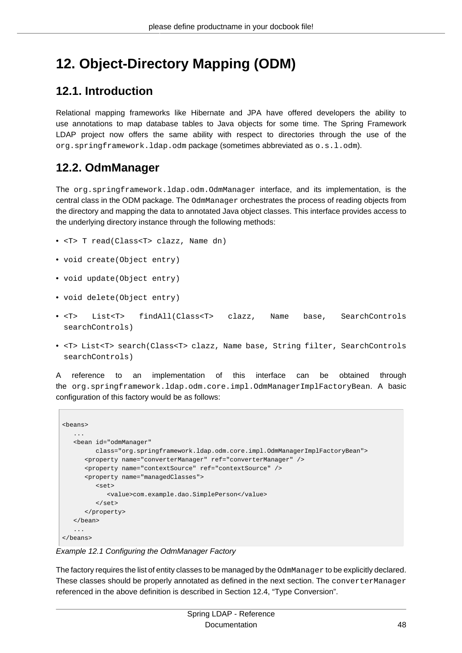## <span id="page-52-0"></span>**12. Object-Directory Mapping (ODM)**

### <span id="page-52-1"></span>**12.1. Introduction**

Relational mapping frameworks like Hibernate and JPA have offered developers the ability to use annotations to map database tables to Java objects for some time. The Spring Framework LDAP project now offers the same ability with respect to directories through the use of the org.springframework.ldap.odm package (sometimes abbreviated as o.s.l.odm).

### <span id="page-52-2"></span>**12.2. OdmManager**

The org.springframework.ldap.odm.OdmManager interface, and its implementation, is the central class in the ODM package. The OdmManager orchestrates the process of reading objects from the directory and mapping the data to annotated Java object classes. This interface provides access to the underlying directory instance through the following methods:

- <T> T read(Class<T> clazz, Name dn)
- void create(Object entry)
- void update(Object entry)
- void delete(Object entry)
- <T> List<T> findAll(Class<T> clazz, Name base, SearchControls searchControls)
- <T> List<T> search(Class<T> clazz, Name base, String filter, SearchControls searchControls)

A reference to an implementation of this interface can be obtained through the org.springframework.ldap.odm.core.impl.OdmManagerImplFactoryBean. A basic configuration of this factory would be as follows:

```
<beans>
 ...
    <bean id="odmManager"
         class="org.springframework.ldap.odm.core.impl.OdmManagerImplFactoryBean">
      <property name="converterManager" ref="converterManager" />
       <property name="contextSource" ref="contextSource" />
       <property name="managedClasses">
          <set>
             <value>com.example.dao.SimplePerson</value>
          </set>
       </property>
    </bean>
 ...
</beans>
```
Example 12.1 Configuring the OdmManager Factory

The factory requires the list of entity classes to be managed by the OdmManager to be explicitly declared. These classes should be properly annotated as defined in the next section. The converterManager referenced in the above definition is described in [Section 12.4, "Type Conversion".](#page-53-1)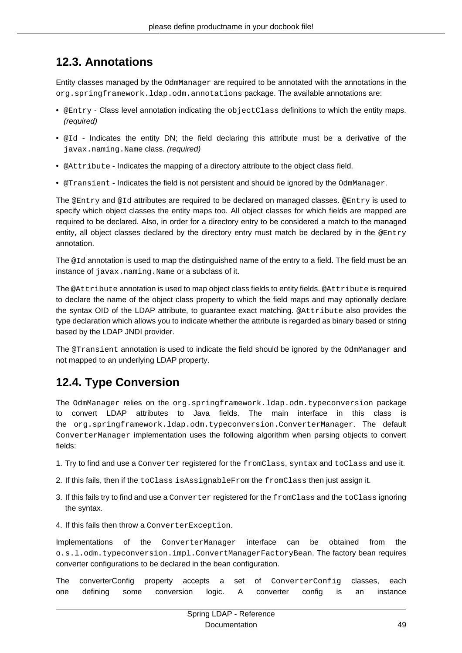## <span id="page-53-0"></span>**12.3. Annotations**

Entity classes managed by the OdmManager are required to be annotated with the annotations in the org.springframework.ldap.odm.annotations package. The available annotations are:

- @Entry Class level annotation indicating the objectClass definitions to which the entity maps. (required)
- @Id Indicates the entity DN; the field declaring this attribute must be a derivative of the javax.naming.Name class. (required)
- @Attribute Indicates the mapping of a directory attribute to the object class field.
- @Transient Indicates the field is not persistent and should be ignored by the OdmManager.

The @Entry and @Id attributes are required to be declared on managed classes. @Entry is used to specify which object classes the entity maps too. All object classes for which fields are mapped are required to be declared. Also, in order for a directory entry to be considered a match to the managed entity, all object classes declared by the directory entry must match be declared by in the @Entry annotation.

The @Id annotation is used to map the distinguished name of the entry to a field. The field must be an instance of javax.naming.Name or a subclass of it.

The @Attribute annotation is used to map object class fields to entity fields. @Attribute is required to declare the name of the object class property to which the field maps and may optionally declare the syntax OID of the LDAP attribute, to guarantee exact matching. @Attribute also provides the type declaration which allows you to indicate whether the attribute is regarded as binary based or string based by the LDAP JNDI provider.

The @Transient annotation is used to indicate the field should be ignored by the OdmManager and not mapped to an underlying LDAP property.

## <span id="page-53-1"></span>**12.4. Type Conversion**

The OdmManager relies on the org.springframework.ldap.odm.typeconversion package to convert LDAP attributes to Java fields. The main interface in this class is the org.springframework.ldap.odm.typeconversion.ConverterManager. The default ConverterManager implementation uses the following algorithm when parsing objects to convert fields:

- 1. Try to find and use a Converter registered for the fromClass, syntax and toClass and use it.
- 2. If this fails, then if the toClass isAssignableFrom the fromClass then just assign it.
- 3. If this fails try to find and use a Converter registered for the fromClass and the toClass ignoring the syntax.
- 4. If this fails then throw a ConverterException.

Implementations of the ConverterManager interface can be obtained from the o.s.l.odm.typeconversion.impl.ConvertManagerFactoryBean. The factory bean requires converter configurations to be declared in the bean configuration.

The converterConfig property accepts a set of ConverterConfig classes, each one defining some conversion logic. A converter config is an instance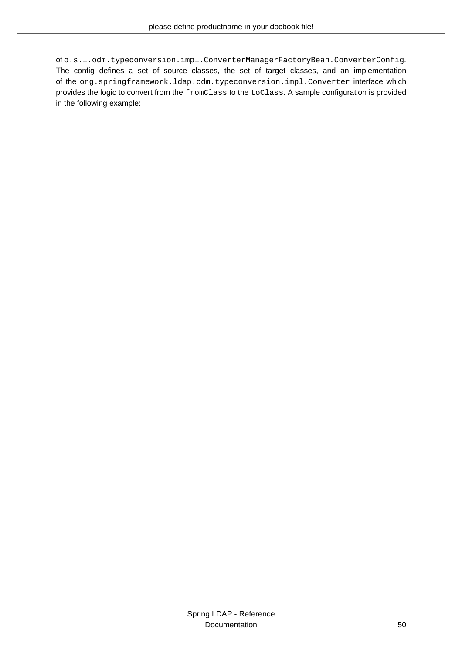of o.s.l.odm.typeconversion.impl.ConverterManagerFactoryBean.ConverterConfig. The config defines a set of source classes, the set of target classes, and an implementation of the org.springframework.ldap.odm.typeconversion.impl.Converter interface which provides the logic to convert from the fromClass to the toClass. A sample configuration is provided in the following example: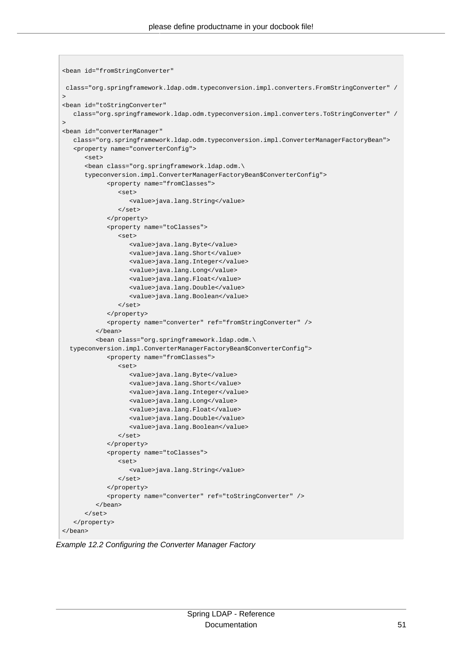```
<bean id="fromStringConverter"
 class="org.springframework.ldap.odm.typeconversion.impl.converters.FromStringConverter" /
>
<bean id="toStringConverter"
   class="org.springframework.ldap.odm.typeconversion.impl.converters.ToStringConverter" /
>
<bean id="converterManager"
   class="org.springframework.ldap.odm.typeconversion.impl.ConverterManagerFactoryBean">
    <property name="converterConfig">
       <set>
       <bean class="org.springframework.ldap.odm.\
       typeconversion.impl.ConverterManagerFactoryBean$ConverterConfig">
             <property name="fromClasses">
                <set>
                   <value>java.lang.String</value>
                </set>
             </property>
             <property name="toClasses">
                <set>
                   <value>java.lang.Byte</value>
                   <value>java.lang.Short</value>
                   <value>java.lang.Integer</value>
                   <value>java.lang.Long</value>
                   <value>java.lang.Float</value>
                   <value>java.lang.Double</value>
                   <value>java.lang.Boolean</value>
                </set>
             </property>
             <property name="converter" ref="fromStringConverter" />
          </bean>
          <bean class="org.springframework.ldap.odm.\
   typeconversion.impl.ConverterManagerFactoryBean$ConverterConfig">
             <property name="fromClasses">
                <set>
                   <value>java.lang.Byte</value>
                   <value>java.lang.Short</value>
                   <value>java.lang.Integer</value>
                   <value>java.lang.Long</value>
                   <value>java.lang.Float</value>
                   <value>java.lang.Double</value>
                   <value>java.lang.Boolean</value>
               \langle/set>
             </property>
             <property name="toClasses">
                <set>
                   <value>java.lang.String</value>
                </set>
             </property>
             <property name="converter" ref="toStringConverter" />
          </bean>
       </set>
    </property>
</bean>
```
Example 12.2 Configuring the Converter Manager Factory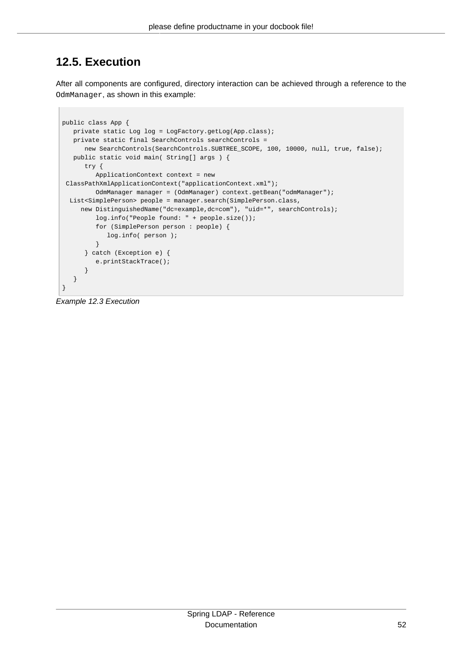## <span id="page-56-0"></span>**12.5. Execution**

After all components are configured, directory interaction can be achieved through a reference to the OdmManager, as shown in this example:

```
public class App {
   private static Log log = LogFactory.getLog(App.class);
    private static final SearchControls searchControls = 
      new SearchControls(SearchControls.SUBTREE_SCOPE, 100, 10000, null, true, false);
    public static void main( String[] args ) {
       try {
          ApplicationContext context = new
 ClassPathXmlApplicationContext("applicationContext.xml");
         OdmManager manager = (OdmManager) context.getBean("odmManager");
  List<SimplePerson> people = manager.search(SimplePerson.class,
     new DistinguishedName("dc=example,dc=com"), "uid=*", searchControls);
          log.info("People found: " + people.size());
          for (SimplePerson person : people) {
             log.info( person );
          }
       } catch (Exception e) {
          e.printStackTrace();
       }
    }
}
```
Example 12.3 Execution